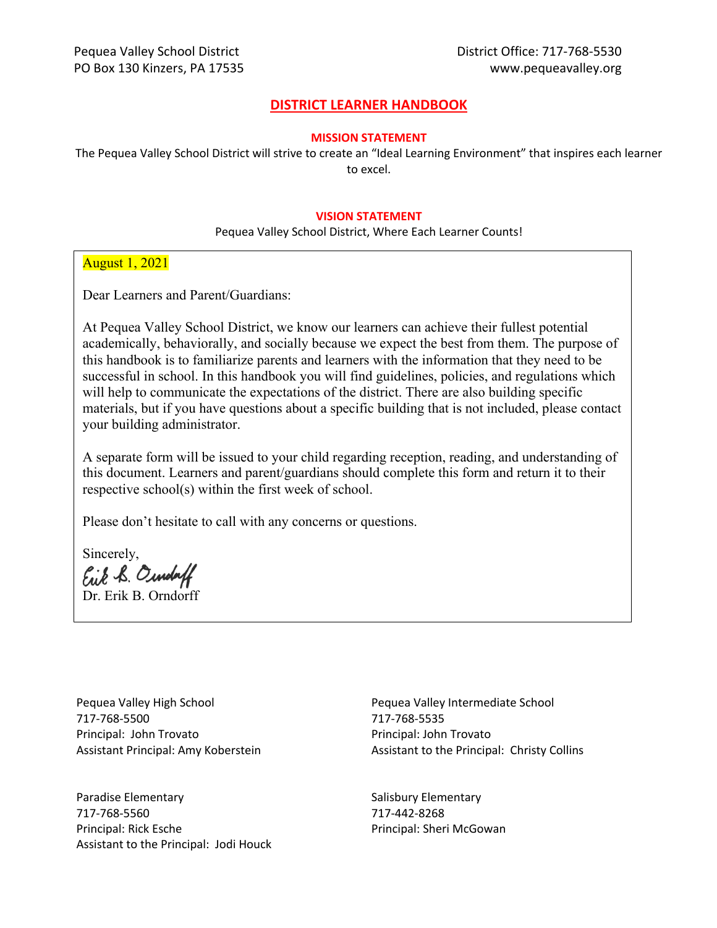#### **DISTRICT LEARNER HANDBOOK**

#### **MISSION STATEMENT**

The Pequea Valley School District will strive to create an "Ideal Learning Environment" that inspires each learner to excel.

#### **VISION STATEMENT**

Pequea Valley School District, Where Each Learner Counts!

August 1, 2021

Dear Learners and Parent/Guardians:

At Pequea Valley School District, we know our learners can achieve their fullest potential academically, behaviorally, and socially because we expect the best from them. The purpose of this handbook is to familiarize parents and learners with the information that they need to be successful in school. In this handbook you will find guidelines, policies, and regulations which will help to communicate the expectations of the district. There are also building specific materials, but if you have questions about a specific building that is not included, please contact your building administrator.

A separate form will be issued to your child regarding reception, reading, and understanding of this document. Learners and parent/guardians should complete this form and return it to their respective school(s) within the first week of school.

Please don't hesitate to call with any concerns or questions.

Sincerely, Erik B. Oundaff Dr. Erik B. Orndorff

Pequea Valley High School Pequea Valley Intermediate School 717-768-5500 717-768-5535 Principal: John Trovato **Principal: John Trovato** 

Paradise Elementary **Salisbury Elementary** Salisbury Elementary 717-768-5560 717-442-8268 Principal: Rick Esche **Principal: Sheri McGowan** Assistant to the Principal: Jodi Houck

Assistant Principal: Amy Koberstein **Assistant to the Principal: Christy Collins** Assistant to the Principal: Christy Collins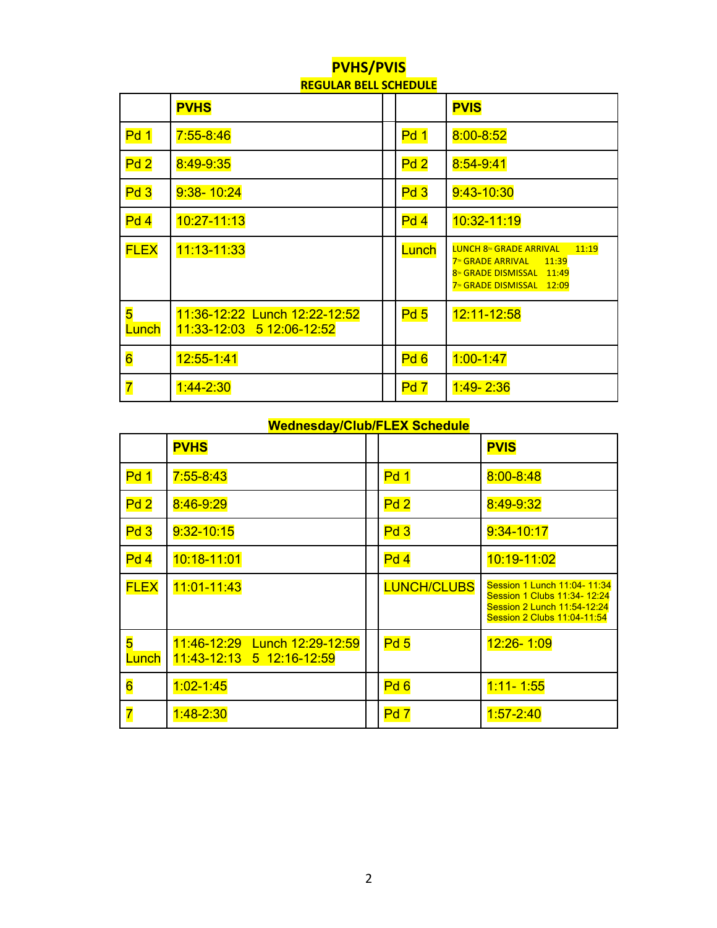## **REGULAR BELL SCHEDULE PVHS PVIS** Pd 1 7:55-8:46 Pd 1 8:00-8:52 Pd 2 8:49-9:35 Reserve Assessment Reserve Assessment Reserve Assessment Reserve Assessment Reserve Assessment R Pd 3 9:38-10:24 et al. (a)  $\frac{1}{2}$  Pd 3 9:43-10:30 Pd 4 | 10:27-11:13 | Pd 4 | 10:32-11:19  $FLEX$  11:13-11:33  $\vert$  Lunch  $\vert$  Lunch  $\vert$  LUNCH 8<sup>Th</sup> GRADE ARRIVAL 11:19 7<sup>™</sup> GRADE ARRIVAL 11:39 8™ GRADE DISMISSAL 11:49 7<sup>™</sup> GRADE DISMISSAL 12:09 5 **Lunch** 11:36-12:22 Lunch 12:22-12:52 11:33-12:03 5 12:06-12:52 Pd 5 | 12:11-12:58 6 12:55-1:41 Pd 6 1:00-1:47 **7** 1:44-2:30 **Pd 7** 1:49-2:36

# **PVHS/PVIS**

#### **Wednesday/Club/FLEX Schedule**

|                   | <b>PVHS</b>                                                |                    | <b>PVIS</b>                                                                                                                |
|-------------------|------------------------------------------------------------|--------------------|----------------------------------------------------------------------------------------------------------------------------|
| Pd 1              | $7:55 - 8:43$                                              | Pd 1               | 8:00-8:48                                                                                                                  |
| Pd2               | 8:46-9:29                                                  | Pd2                | 8:49-9:32                                                                                                                  |
| Pd <sub>3</sub>   | $9:32 - 10:15$                                             | Pd3                | $9:34 - 10:17$                                                                                                             |
| Pd4               | 10:18-11:01                                                | Pd4                | 10:19-11:02                                                                                                                |
| <b>FLEX</b>       | 11:01-11:43                                                | <b>LUNCH/CLUBS</b> | Session 1 Lunch 11:04- 11:34<br>Session 1 Clubs 11:34- 12:24<br>Session 2 Lunch 11:54-12:24<br>Session 2 Clubs 11:04-11:54 |
| 5<br><u>Lunch</u> | 11:46-12:29 Lunch 12:29-12:59<br>11:43-12:13 5 12:16-12:59 | Pd <sub>5</sub>    | 12:26-1:09                                                                                                                 |
| $\overline{6}$    | $1:02 - 1:45$                                              | Pd6                | $1:11 - 1:55$                                                                                                              |
| $\overline{7}$    | $1:48 - 2:30$                                              | Pd <sub>7</sub>    | $1:57 - 2:40$                                                                                                              |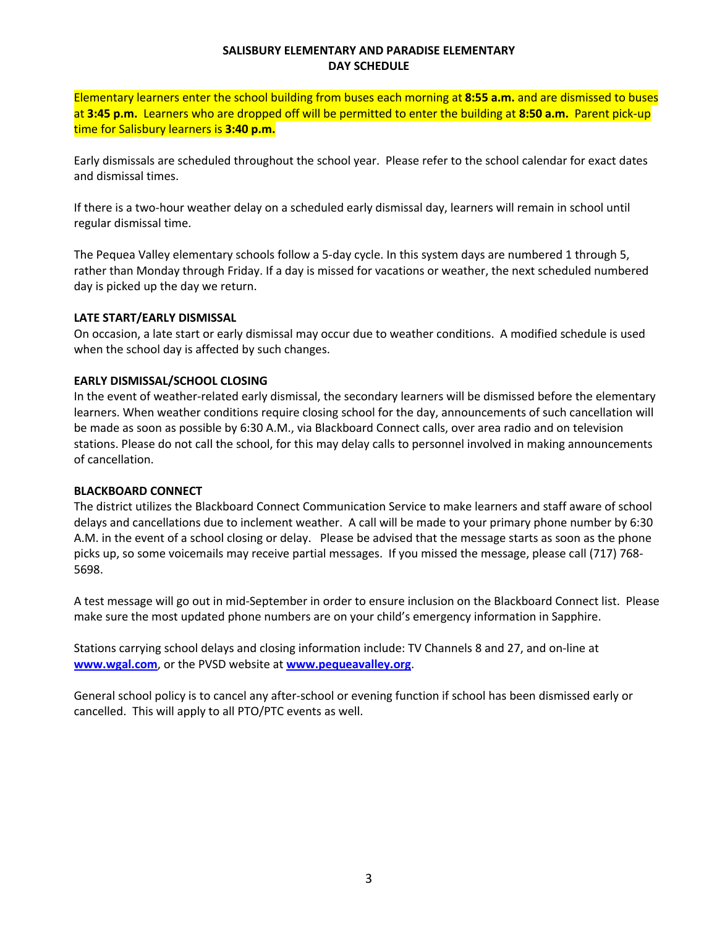#### **SALISBURY ELEMENTARY AND PARADISE ELEMENTARY DAY SCHEDULE**

Elementary learners enter the school building from buses each morning at **8:55 a.m.** and are dismissed to buses at **3:45 p.m.** Learners who are dropped off will be permitted to enter the building at **8:50 a.m.** Parent pick-up time for Salisbury learners is **3:40 p.m.**

Early dismissals are scheduled throughout the school year. Please refer to the school calendar for exact dates and dismissal times.

If there is a two-hour weather delay on a scheduled early dismissal day, learners will remain in school until regular dismissal time.

The Pequea Valley elementary schools follow a 5-day cycle. In this system days are numbered 1 through 5, rather than Monday through Friday. If a day is missed for vacations or weather, the next scheduled numbered day is picked up the day we return.

#### **LATE START/EARLY DISMISSAL**

On occasion, a late start or early dismissal may occur due to weather conditions. A modified schedule is used when the school day is affected by such changes.

#### **EARLY DISMISSAL/SCHOOL CLOSING**

In the event of weather-related early dismissal, the secondary learners will be dismissed before the elementary learners. When weather conditions require closing school for the day, announcements of such cancellation will be made as soon as possible by 6:30 A.M., via Blackboard Connect calls, over area radio and on television stations. Please do not call the school, for this may delay calls to personnel involved in making announcements of cancellation.

#### **BLACKBOARD CONNECT**

The district utilizes the Blackboard Connect Communication Service to make learners and staff aware of school delays and cancellations due to inclement weather. A call will be made to your primary phone number by 6:30 A.M. in the event of a school closing or delay. Please be advised that the message starts as soon as the phone picks up, so some voicemails may receive partial messages. If you missed the message, please call (717) 768- 5698.

A test message will go out in mid-September in order to ensure inclusion on the Blackboard Connect list. Please make sure the most updated phone numbers are on your child's emergency information in Sapphire.

Stations carrying school delays and closing information include: TV Channels 8 and 27, and on-line at **www.wgal.com**, or the PVSD website at **www.pequeavalley.org**.

General school policy is to cancel any after-school or evening function if school has been dismissed early or cancelled. This will apply to all PTO/PTC events as well.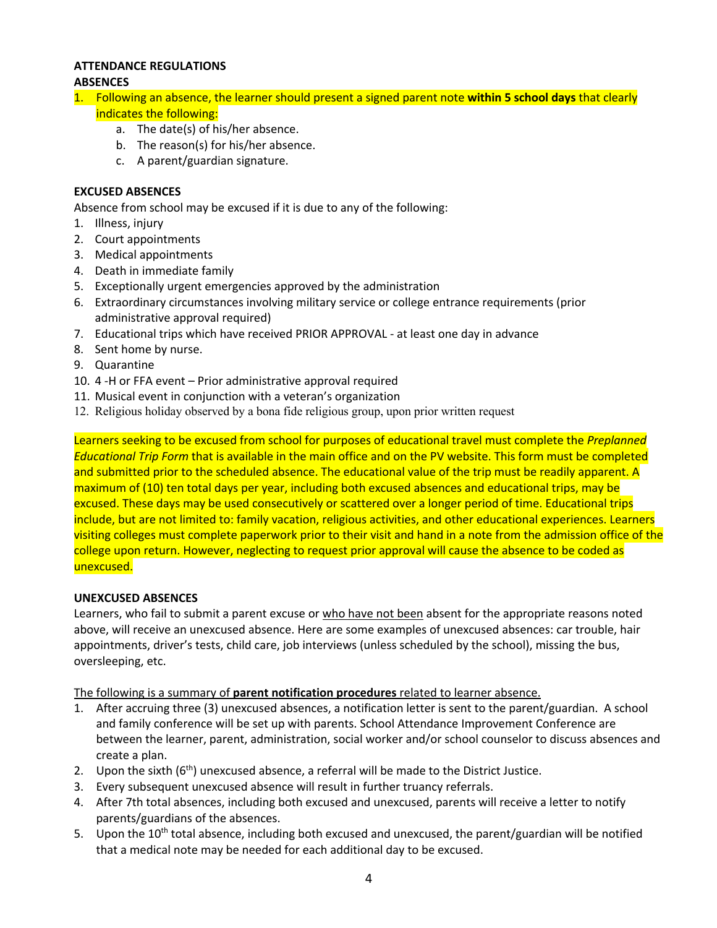# **ATTENDANCE REGULATIONS**

#### **ABSENCES**

- 1. Following an absence, the learner should present a signed parent note **within 5 school days** that clearly indicates the following:
	- a. The date(s) of his/her absence.
	- b. The reason(s) for his/her absence.
	- c. A parent/guardian signature.

### **EXCUSED ABSENCES**

Absence from school may be excused if it is due to any of the following:

- 1. Illness, injury
- 2. Court appointments
- 3. Medical appointments
- 4. Death in immediate family
- 5. Exceptionally urgent emergencies approved by the administration
- 6. Extraordinary circumstances involving military service or college entrance requirements (prior administrative approval required)
- 7. Educational trips which have received PRIOR APPROVAL at least one day in advance
- 8. Sent home by nurse.
- 9. Quarantine
- 10. 4 -H or FFA event Prior administrative approval required
- 11. Musical event in conjunction with a veteran's organization
- 12. Religious holiday observed by a bona fide religious group, upon prior written request

Learners seeking to be excused from school for purposes of educational travel must complete the *Preplanned Educational Trip Form* that is available in the main office and on the PV website. This form must be completed and submitted prior to the scheduled absence. The educational value of the trip must be readily apparent. A maximum of (10) ten total days per year, including both excused absences and educational trips, may be excused. These days may be used consecutively or scattered over a longer period of time. Educational trips include, but are not limited to: family vacation, religious activities, and other educational experiences. Learners visiting colleges must complete paperwork prior to their visit and hand in a note from the admission office of the college upon return. However, neglecting to request prior approval will cause the absence to be coded as unexcused.

#### **UNEXCUSED ABSENCES**

Learners, who fail to submit a parent excuse or who have not been absent for the appropriate reasons noted above, will receive an unexcused absence. Here are some examples of unexcused absences: car trouble, hair appointments, driver's tests, child care, job interviews (unless scheduled by the school), missing the bus, oversleeping, etc.

The following is a summary of **parent notification procedures** related to learner absence.

- 1. After accruing three (3) unexcused absences, a notification letter is sent to the parent/guardian. A school and family conference will be set up with parents. School Attendance Improvement Conference are between the learner, parent, administration, social worker and/or school counselor to discuss absences and create a plan.
- 2. Upon the sixth  $(6<sup>th</sup>)$  unexcused absence, a referral will be made to the District Justice.
- 3. Every subsequent unexcused absence will result in further truancy referrals.
- 4. After 7th total absences, including both excused and unexcused, parents will receive a letter to notify parents/guardians of the absences.
- 5. Upon the 10<sup>th</sup> total absence, including both excused and unexcused, the parent/guardian will be notified that a medical note may be needed for each additional day to be excused.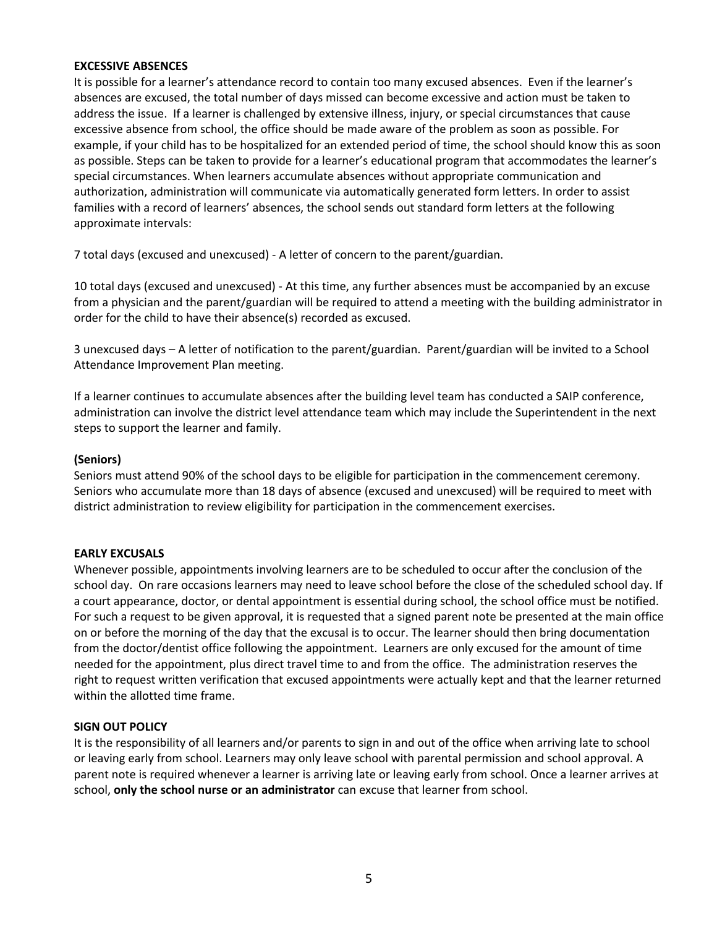#### **EXCESSIVE ABSENCES**

It is possible for a learner's attendance record to contain too many excused absences. Even if the learner's absences are excused, the total number of days missed can become excessive and action must be taken to address the issue. If a learner is challenged by extensive illness, injury, or special circumstances that cause excessive absence from school, the office should be made aware of the problem as soon as possible. For example, if your child has to be hospitalized for an extended period of time, the school should know this as soon as possible. Steps can be taken to provide for a learner's educational program that accommodates the learner's special circumstances. When learners accumulate absences without appropriate communication and authorization, administration will communicate via automatically generated form letters. In order to assist families with a record of learners' absences, the school sends out standard form letters at the following approximate intervals:

7 total days (excused and unexcused) - A letter of concern to the parent/guardian.

10 total days (excused and unexcused) - At this time, any further absences must be accompanied by an excuse from a physician and the parent/guardian will be required to attend a meeting with the building administrator in order for the child to have their absence(s) recorded as excused.

3 unexcused days – A letter of notification to the parent/guardian. Parent/guardian will be invited to a School Attendance Improvement Plan meeting.

If a learner continues to accumulate absences after the building level team has conducted a SAIP conference, administration can involve the district level attendance team which may include the Superintendent in the next steps to support the learner and family.

#### **(Seniors)**

Seniors must attend 90% of the school days to be eligible for participation in the commencement ceremony. Seniors who accumulate more than 18 days of absence (excused and unexcused) will be required to meet with district administration to review eligibility for participation in the commencement exercises.

#### **EARLY EXCUSALS**

Whenever possible, appointments involving learners are to be scheduled to occur after the conclusion of the school day. On rare occasions learners may need to leave school before the close of the scheduled school day. If a court appearance, doctor, or dental appointment is essential during school, the school office must be notified. For such a request to be given approval, it is requested that a signed parent note be presented at the main office on or before the morning of the day that the excusal is to occur. The learner should then bring documentation from the doctor/dentist office following the appointment. Learners are only excused for the amount of time needed for the appointment, plus direct travel time to and from the office. The administration reserves the right to request written verification that excused appointments were actually kept and that the learner returned within the allotted time frame.

#### **SIGN OUT POLICY**

It is the responsibility of all learners and/or parents to sign in and out of the office when arriving late to school or leaving early from school. Learners may only leave school with parental permission and school approval. A parent note is required whenever a learner is arriving late or leaving early from school. Once a learner arrives at school, **only the school nurse or an administrator** can excuse that learner from school.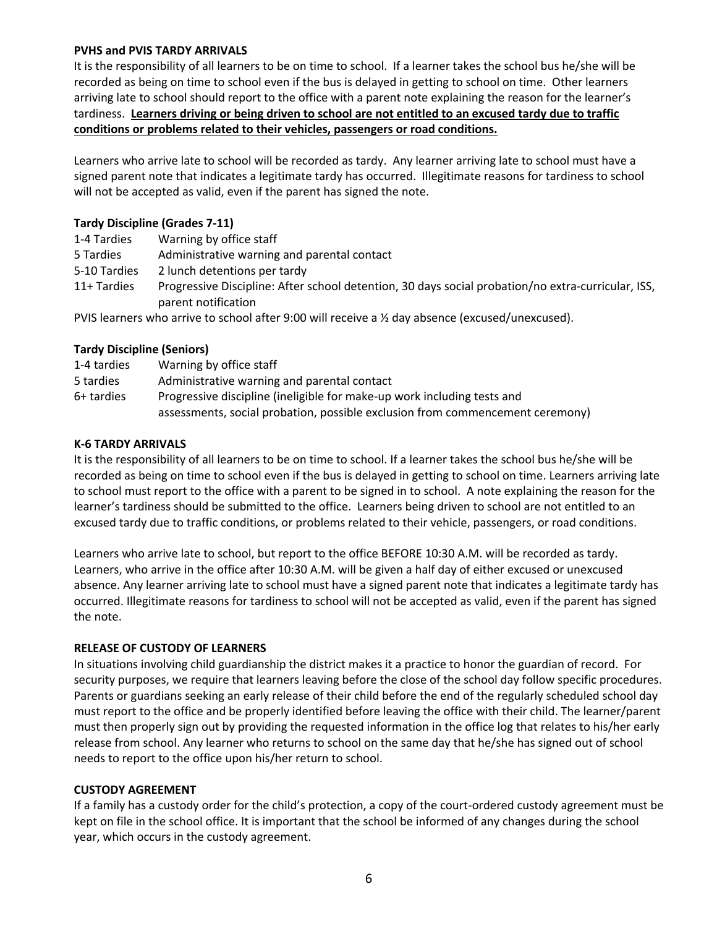#### **PVHS and PVIS TARDY ARRIVALS**

It is the responsibility of all learners to be on time to school. If a learner takes the school bus he/she will be recorded as being on time to school even if the bus is delayed in getting to school on time. Other learners arriving late to school should report to the office with a parent note explaining the reason for the learner's tardiness. **Learners driving or being driven to school are not entitled to an excused tardy due to traffic conditions or problems related to their vehicles, passengers or road conditions.**

Learners who arrive late to school will be recorded as tardy. Any learner arriving late to school must have a signed parent note that indicates a legitimate tardy has occurred. Illegitimate reasons for tardiness to school will not be accepted as valid, even if the parent has signed the note.

#### **Tardy Discipline (Grades 7-11)**

| 1-4 Tardies  | Warning by office staff                                                                                                   |
|--------------|---------------------------------------------------------------------------------------------------------------------------|
| 5 Tardies    | Administrative warning and parental contact                                                                               |
| 5-10 Tardies | 2 lunch detentions per tardy                                                                                              |
| 11+ Tardies  | Progressive Discipline: After school detention, 30 days social probation/no extra-curricular, ISS,<br>parent notification |
|              | PVIS learners who arrive to school after 9:00 will receive a 1/2 day absence (excused/unexcused).                         |

#### **Tardy Discipline (Seniors)**

| 1-4 tardies | Warning by office staff                                                       |
|-------------|-------------------------------------------------------------------------------|
| 5 tardies   | Administrative warning and parental contact                                   |
| 6+ tardies  | Progressive discipline (ineligible for make-up work including tests and       |
|             | assessments, social probation, possible exclusion from commencement ceremony) |

#### **K-6 TARDY ARRIVALS**

It is the responsibility of all learners to be on time to school. If a learner takes the school bus he/she will be recorded as being on time to school even if the bus is delayed in getting to school on time. Learners arriving late to school must report to the office with a parent to be signed in to school. A note explaining the reason for the learner's tardiness should be submitted to the office. Learners being driven to school are not entitled to an excused tardy due to traffic conditions, or problems related to their vehicle, passengers, or road conditions.

Learners who arrive late to school, but report to the office BEFORE 10:30 A.M. will be recorded as tardy. Learners, who arrive in the office after 10:30 A.M. will be given a half day of either excused or unexcused absence. Any learner arriving late to school must have a signed parent note that indicates a legitimate tardy has occurred. Illegitimate reasons for tardiness to school will not be accepted as valid, even if the parent has signed the note.

#### **RELEASE OF CUSTODY OF LEARNERS**

In situations involving child guardianship the district makes it a practice to honor the guardian of record. For security purposes, we require that learners leaving before the close of the school day follow specific procedures. Parents or guardians seeking an early release of their child before the end of the regularly scheduled school day must report to the office and be properly identified before leaving the office with their child. The learner/parent must then properly sign out by providing the requested information in the office log that relates to his/her early release from school. Any learner who returns to school on the same day that he/she has signed out of school needs to report to the office upon his/her return to school.

#### **CUSTODY AGREEMENT**

If a family has a custody order for the child's protection, a copy of the court-ordered custody agreement must be kept on file in the school office. It is important that the school be informed of any changes during the school year, which occurs in the custody agreement.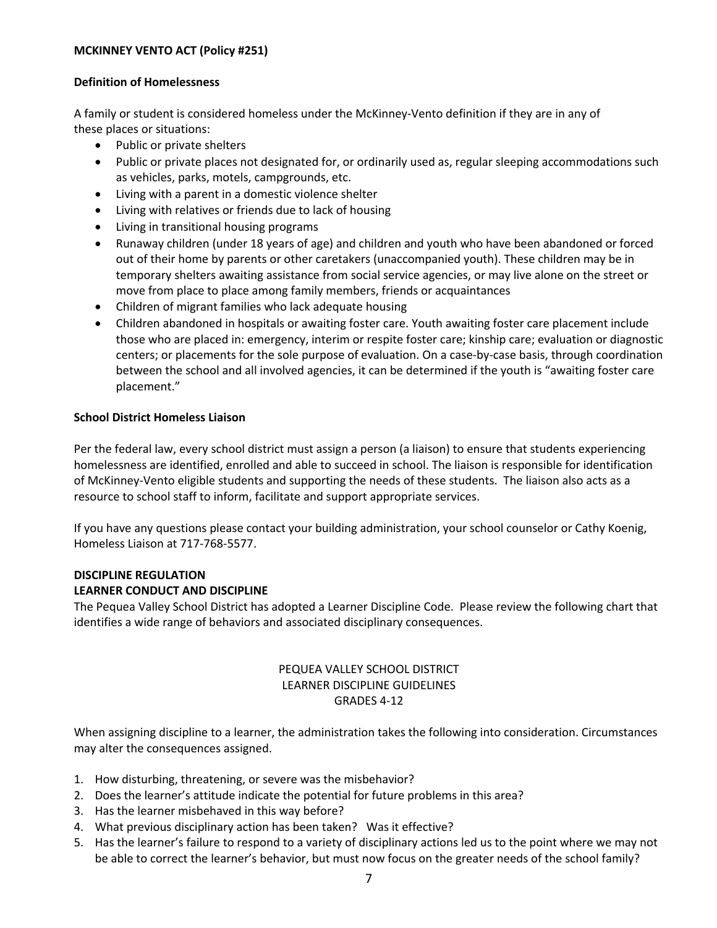#### **MCKINNEY VENTO ACT (Policy #251)**

#### **Definition of Homelessness**

A family or student is considered homeless under the McKinney-Vento definition if they are in any of these places or situations:

- Public or private shelters
- Public or private places not designated for, or ordinarily used as, regular sleeping accommodations such as vehicles, parks, motels, campgrounds, etc.
- Living with a parent in a domestic violence shelter
- Living with relatives or friends due to lack of housing
- Living in transitional housing programs
- Runaway children (under 18 years of age) and children and youth who have been abandoned or forced out of their home by parents or other caretakers (unaccompanied youth). These children may be in temporary shelters awaiting assistance from social service agencies, or may live alone on the street or move from place to place among family members, friends or acquaintances
- Children of migrant families who lack adequate housing
- Children abandoned in hospitals or awaiting foster care. Youth awaiting foster care placement include those who are placed in: emergency, interim or respite foster care; kinship care; evaluation or diagnostic centers; or placements for the sole purpose of evaluation. On a case-by-case basis, through coordination between the school and all involved agencies, it can be determined if the youth is "awaiting foster care placement."

#### **School District Homeless Liaison**

Per the federal law, every school district must assign a person (a liaison) to ensure that students experiencing homelessness are identified, enrolled and able to succeed in school. The liaison is responsible for identification of McKinney-Vento eligible students and supporting the needs of these students. The liaison also acts as a resource to school staff to inform, facilitate and support appropriate services.

If you have any questions please contact your building administration, your school counselor or Cathy Koenig, Homeless Liaison at 717-768-5577.

#### **DISCIPLINE REGULATION LEARNER CONDUCT AND DISCIPLINE**

The Pequea Valley School District has adopted a Learner Discipline Code. Please review the following chart that identifies a wide range of behaviors and associated disciplinary consequences.

#### PEQUEA VALLEY SCHOOL DISTRICT LEARNER DISCIPLINE GUIDELINES GRADES 4-12

When assigning discipline to a learner, the administration takes the following into consideration. Circumstances may alter the consequences assigned.

- 1. How disturbing, threatening, or severe was the misbehavior?
- 2. Does the learner's attitude indicate the potential for future problems in this area?
- 3. Has the learner misbehaved in this way before?
- 4. What previous disciplinary action has been taken? Was it effective?
- 5. Has the learner's failure to respond to a variety of disciplinary actions led us to the point where we may not be able to correct the learner's behavior, but must now focus on the greater needs of the school family?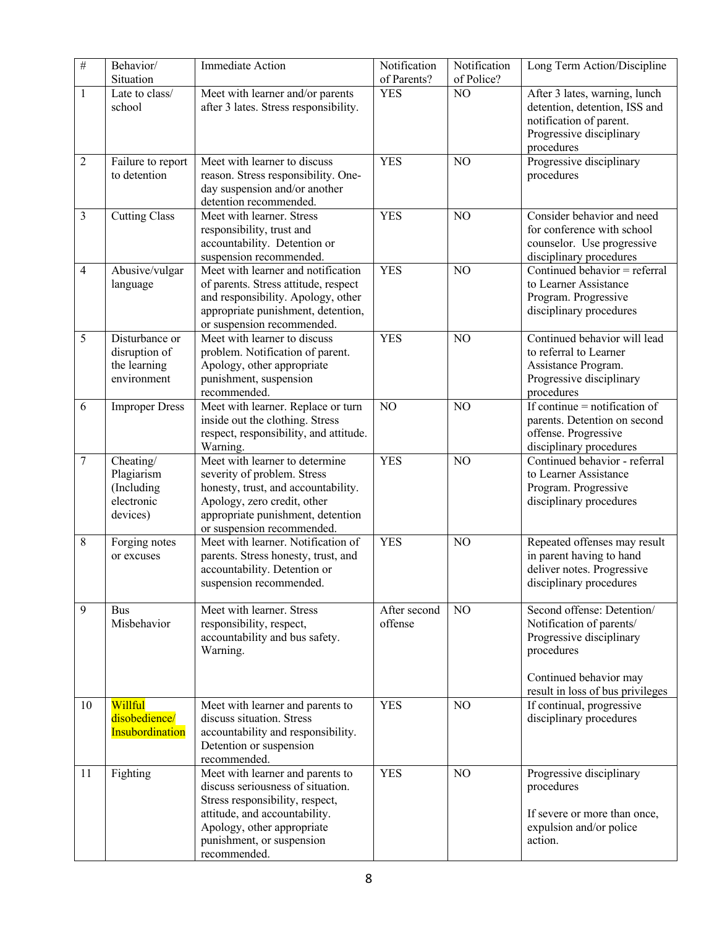| $\#$           | Behavior/<br>Situation                                          | <b>Immediate Action</b>                                                                                                                                                                                              | Notification<br>of Parents? | Notification<br>of Police? | Long Term Action/Discipline                                                                                                                                    |
|----------------|-----------------------------------------------------------------|----------------------------------------------------------------------------------------------------------------------------------------------------------------------------------------------------------------------|-----------------------------|----------------------------|----------------------------------------------------------------------------------------------------------------------------------------------------------------|
| $\mathbf{1}$   | Late to class/<br>school                                        | Meet with learner and/or parents<br>after 3 lates. Stress responsibility.                                                                                                                                            | <b>YES</b>                  | NO                         | After 3 lates, warning, lunch<br>detention, detention, ISS and<br>notification of parent.<br>Progressive disciplinary<br>procedures                            |
| $\overline{2}$ | Failure to report<br>to detention                               | Meet with learner to discuss<br>reason. Stress responsibility. One-<br>day suspension and/or another<br>detention recommended.                                                                                       | <b>YES</b>                  | NO                         | Progressive disciplinary<br>procedures                                                                                                                         |
| 3              | <b>Cutting Class</b>                                            | Meet with learner. Stress<br>responsibility, trust and<br>accountability. Detention or<br>suspension recommended.                                                                                                    | <b>YES</b>                  | N <sub>O</sub>             | Consider behavior and need<br>for conference with school<br>counselor. Use progressive<br>disciplinary procedures                                              |
| $\overline{4}$ | Abusive/vulgar<br>language                                      | Meet with learner and notification<br>of parents. Stress attitude, respect<br>and responsibility. Apology, other<br>appropriate punishment, detention,<br>or suspension recommended.                                 | <b>YES</b>                  | NO                         | Continued behavior = referral<br>to Learner Assistance<br>Program. Progressive<br>disciplinary procedures                                                      |
| 5              | Disturbance or<br>disruption of<br>the learning<br>environment  | Meet with learner to discuss<br>problem. Notification of parent.<br>Apology, other appropriate<br>punishment, suspension<br>recommended.                                                                             | <b>YES</b>                  | N <sub>O</sub>             | Continued behavior will lead<br>to referral to Learner<br>Assistance Program.<br>Progressive disciplinary<br>procedures                                        |
| 6              | <b>Improper Dress</b>                                           | Meet with learner. Replace or turn<br>inside out the clothing. Stress<br>respect, responsibility, and attitude.<br>Warning.                                                                                          | N <sub>O</sub>              | N <sub>O</sub>             | If continue $=$ notification of<br>parents. Detention on second<br>offense. Progressive<br>disciplinary procedures                                             |
| $\overline{7}$ | Cheating/<br>Plagiarism<br>(Including<br>electronic<br>devices) | Meet with learner to determine<br>severity of problem. Stress<br>honesty, trust, and accountability.<br>Apology, zero credit, other<br>appropriate punishment, detention<br>or suspension recommended.               | <b>YES</b>                  | NO                         | Continued behavior - referral<br>to Learner Assistance<br>Program. Progressive<br>disciplinary procedures                                                      |
| 8              | Forging notes<br>or excuses                                     | Meet with learner. Notification of<br>parents. Stress honesty, trust, and<br>accountability. Detention or<br>suspension recommended.                                                                                 | <b>YES</b>                  | N <sub>O</sub>             | Repeated offenses may result<br>in parent having to hand<br>deliver notes. Progressive<br>disciplinary procedures                                              |
| 9              | <b>Bus</b><br>Misbehavior                                       | Meet with learner. Stress<br>responsibility, respect,<br>accountability and bus safety.<br>Warning.                                                                                                                  | After second<br>offense     | NO                         | Second offense: Detention/<br>Notification of parents/<br>Progressive disciplinary<br>procedures<br>Continued behavior may<br>result in loss of bus privileges |
| 10             | Willful<br>disobedience/<br>Insubordination                     | Meet with learner and parents to<br>discuss situation. Stress<br>accountability and responsibility.<br>Detention or suspension<br>recommended.                                                                       | <b>YES</b>                  | NO                         | If continual, progressive<br>disciplinary procedures                                                                                                           |
| 11             | Fighting                                                        | Meet with learner and parents to<br>discuss seriousness of situation.<br>Stress responsibility, respect,<br>attitude, and accountability.<br>Apology, other appropriate<br>punishment, or suspension<br>recommended. | <b>YES</b>                  | N <sub>O</sub>             | Progressive disciplinary<br>procedures<br>If severe or more than once,<br>expulsion and/or police<br>action.                                                   |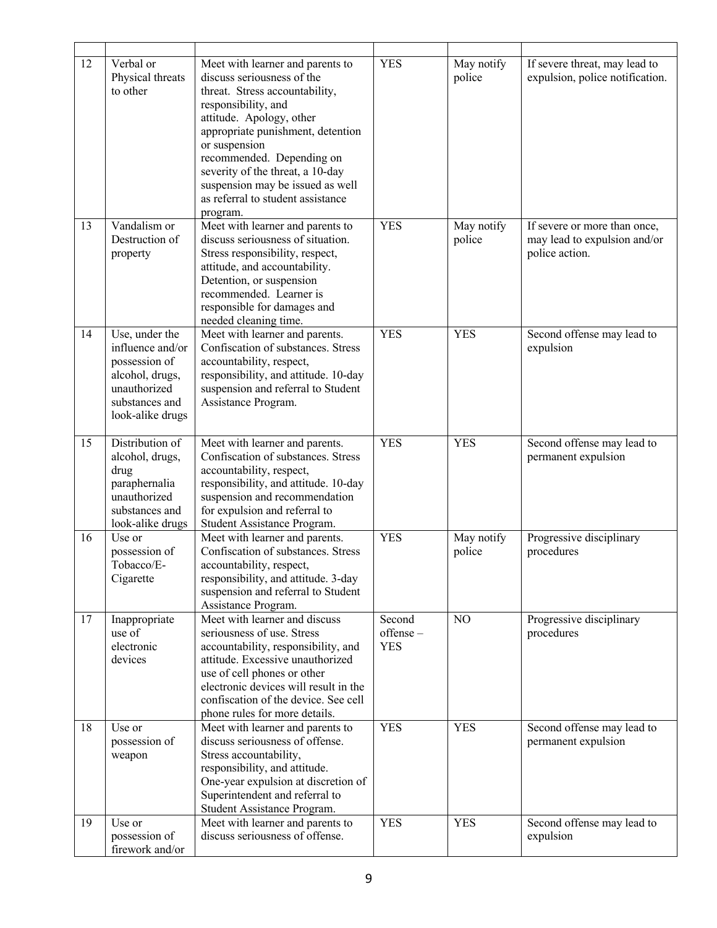| 12 | Verbal or<br>Physical threats<br>to other                                                                                    | Meet with learner and parents to<br>discuss seriousness of the<br>threat. Stress accountability,<br>responsibility, and<br>attitude. Apology, other<br>appropriate punishment, detention<br>or suspension<br>recommended. Depending on<br>severity of the threat, a 10-day<br>suspension may be issued as well<br>as referral to student assistance<br>program. | <b>YES</b>                       | May notify<br>police | If severe threat, may lead to<br>expulsion, police notification.               |
|----|------------------------------------------------------------------------------------------------------------------------------|-----------------------------------------------------------------------------------------------------------------------------------------------------------------------------------------------------------------------------------------------------------------------------------------------------------------------------------------------------------------|----------------------------------|----------------------|--------------------------------------------------------------------------------|
| 13 | Vandalism or<br>Destruction of<br>property                                                                                   | Meet with learner and parents to<br>discuss seriousness of situation.<br>Stress responsibility, respect,<br>attitude, and accountability.<br>Detention, or suspension<br>recommended. Learner is<br>responsible for damages and<br>needed cleaning time.                                                                                                        | <b>YES</b>                       | May notify<br>police | If severe or more than once,<br>may lead to expulsion and/or<br>police action. |
| 14 | Use, under the<br>influence and/or<br>possession of<br>alcohol, drugs,<br>unauthorized<br>substances and<br>look-alike drugs | Meet with learner and parents.<br>Confiscation of substances. Stress<br>accountability, respect,<br>responsibility, and attitude. 10-day<br>suspension and referral to Student<br>Assistance Program.                                                                                                                                                           | <b>YES</b>                       | <b>YES</b>           | Second offense may lead to<br>expulsion                                        |
| 15 | Distribution of<br>alcohol, drugs,<br>drug<br>paraphernalia<br>unauthorized<br>substances and<br>look-alike drugs            | Meet with learner and parents.<br>Confiscation of substances. Stress<br>accountability, respect,<br>responsibility, and attitude. 10-day<br>suspension and recommendation<br>for expulsion and referral to<br>Student Assistance Program.                                                                                                                       | <b>YES</b>                       | <b>YES</b>           | Second offense may lead to<br>permanent expulsion                              |
| 16 | Use or<br>possession of<br>Tobacco/E-<br>Cigarette                                                                           | Meet with learner and parents.<br>Confiscation of substances. Stress<br>accountability, respect,<br>responsibility, and attitude. 3-day<br>suspension and referral to Student<br>Assistance Program.                                                                                                                                                            | <b>YES</b>                       | May notify<br>police | Progressive disciplinary<br>procedures                                         |
| 17 | Inappropriate<br>use of<br>electronic<br>devices                                                                             | Meet with learner and discuss<br>seriousness of use. Stress<br>accountability, responsibility, and<br>attitude. Excessive unauthorized<br>use of cell phones or other<br>electronic devices will result in the<br>confiscation of the device. See cell<br>phone rules for more details.                                                                         | Second<br>offense-<br><b>YES</b> | NO                   | Progressive disciplinary<br>procedures                                         |
| 18 | Use or<br>possession of<br>weapon                                                                                            | Meet with learner and parents to<br>discuss seriousness of offense.<br>Stress accountability,<br>responsibility, and attitude.<br>One-year expulsion at discretion of<br>Superintendent and referral to<br>Student Assistance Program.                                                                                                                          | <b>YES</b>                       | <b>YES</b>           | Second offense may lead to<br>permanent expulsion                              |
| 19 | Use or<br>possession of<br>firework and/or                                                                                   | Meet with learner and parents to<br>discuss seriousness of offense.                                                                                                                                                                                                                                                                                             | <b>YES</b>                       | <b>YES</b>           | Second offense may lead to<br>expulsion                                        |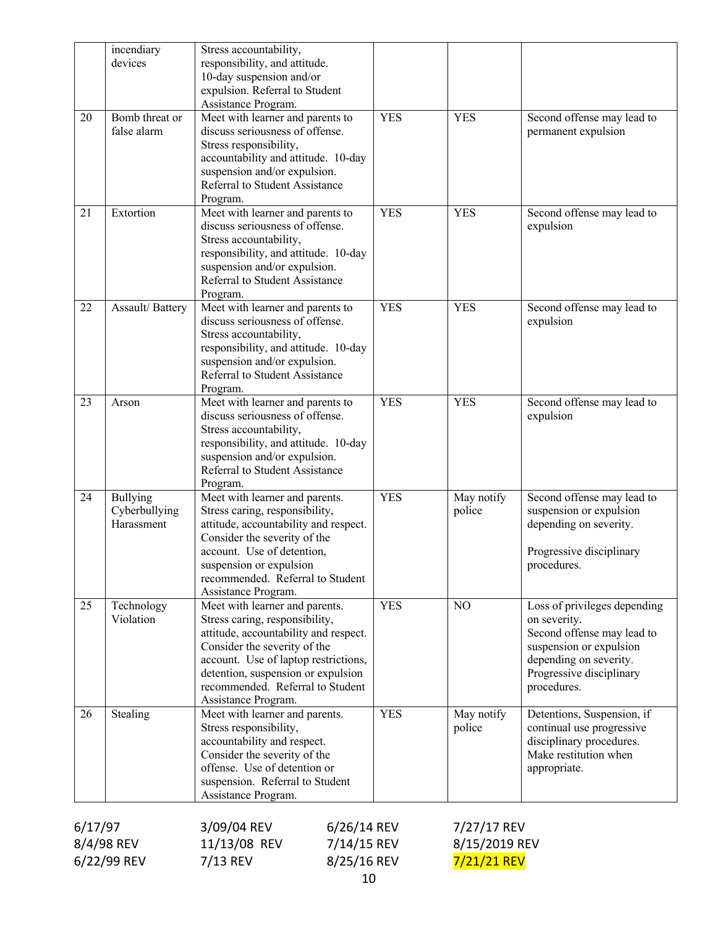|         | incendiary<br>devices                                                                                                                                                                                                                  | Stress accountability,<br>responsibility, and attitude.<br>10-day suspension and/or<br>expulsion. Referral to Student<br>Assistance Program.                                                                                                                                       |            |                              |                                                                                                                                                                            |
|---------|----------------------------------------------------------------------------------------------------------------------------------------------------------------------------------------------------------------------------------------|------------------------------------------------------------------------------------------------------------------------------------------------------------------------------------------------------------------------------------------------------------------------------------|------------|------------------------------|----------------------------------------------------------------------------------------------------------------------------------------------------------------------------|
| 20      | Bomb threat or<br>false alarm                                                                                                                                                                                                          | Meet with learner and parents to<br>discuss seriousness of offense.<br>Stress responsibility,<br>accountability and attitude. 10-day<br>suspension and/or expulsion.<br>Referral to Student Assistance<br>Program.                                                                 |            | <b>YES</b>                   | Second offense may lead to<br>permanent expulsion                                                                                                                          |
| 21      | Extortion                                                                                                                                                                                                                              | Meet with learner and parents to<br>discuss seriousness of offense.<br>Stress accountability,<br>responsibility, and attitude. 10-day<br>suspension and/or expulsion.<br>Referral to Student Assistance<br>Program.                                                                | <b>YES</b> | <b>YES</b>                   | Second offense may lead to<br>expulsion                                                                                                                                    |
| 22      | Meet with learner and parents to<br>Assault/Battery<br>discuss seriousness of offense.<br>Stress accountability,<br>responsibility, and attitude. 10-day<br>suspension and/or expulsion.<br>Referral to Student Assistance<br>Program. |                                                                                                                                                                                                                                                                                    | <b>YES</b> | <b>YES</b>                   | Second offense may lead to<br>expulsion                                                                                                                                    |
| 23      | Arson                                                                                                                                                                                                                                  | Meet with learner and parents to<br>discuss seriousness of offense.<br>Stress accountability,<br>responsibility, and attitude. 10-day<br>suspension and/or expulsion.<br>Referral to Student Assistance<br>Program.                                                                | <b>YES</b> | <b>YES</b>                   | Second offense may lead to<br>expulsion                                                                                                                                    |
| 24      | Bullying<br>Cyberbullying<br>Harassment                                                                                                                                                                                                | Meet with learner and parents.<br>Stress caring, responsibility,<br>attitude, accountability and respect.<br>Consider the severity of the<br>account. Use of detention,<br>suspension or expulsion<br>recommended. Referral to Student<br>Assistance Program.                      | <b>YES</b> | May notify<br>police         | Second offense may lead to<br>suspension or expulsion<br>depending on severity.<br>Progressive disciplinary<br>procedures.                                                 |
| 25      | Technology<br>Violation                                                                                                                                                                                                                | Meet with learner and parents.<br>Stress caring, responsibility,<br>attitude, accountability and respect.<br>Consider the severity of the<br>account. Use of laptop restrictions,<br>detention, suspension or expulsion<br>recommended. Referral to Student<br>Assistance Program. | <b>YES</b> | NO                           | Loss of privileges depending<br>on severity.<br>Second offense may lead to<br>suspension or expulsion<br>depending on severity.<br>Progressive disciplinary<br>procedures. |
| 26      | Stealing                                                                                                                                                                                                                               | Meet with learner and parents.<br>Stress responsibility,<br>accountability and respect.<br>Consider the severity of the<br>offense. Use of detention or<br>suspension. Referral to Student<br>Assistance Program.                                                                  | <b>YES</b> | May notify<br>police         | Detentions, Suspension, if<br>continual use progressive<br>disciplinary procedures.<br>Make restitution when<br>appropriate.                                               |
| 6/17/97 | 8/4/98 REV                                                                                                                                                                                                                             | 3/09/04 REV<br>6/26/14 REV<br>7/14/15 REV<br>11/13/08 REV                                                                                                                                                                                                                          |            | 7/27/17 REV<br>8/15/2019 REV |                                                                                                                                                                            |

6/22/99 REV 7/13 REV 8/25/16 REV 7/21/21 REV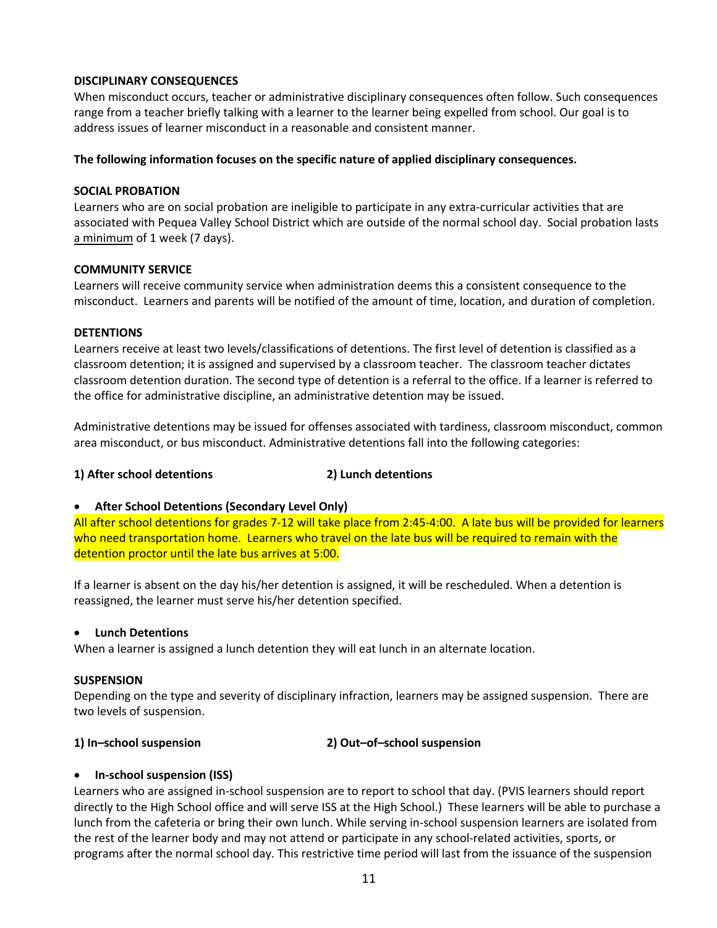#### **DISCIPLINARY CONSEQUENCES**

When misconduct occurs, teacher or administrative disciplinary consequences often follow. Such consequences range from a teacher briefly talking with a learner to the learner being expelled from school. Our goal is to address issues of learner misconduct in a reasonable and consistent manner.

#### **The following information focuses on the specific nature of applied disciplinary consequences.**

#### **SOCIAL PROBATION**

Learners who are on social probation are ineligible to participate in any extra-curricular activities that are associated with Pequea Valley School District which are outside of the normal school day. Social probation lasts a minimum of 1 week (7 days).

#### **COMMUNITY SERVICE**

Learners will receive community service when administration deems this a consistent consequence to the misconduct. Learners and parents will be notified of the amount of time, location, and duration of completion.

#### **DETENTIONS**

Learners receive at least two levels/classifications of detentions. The first level of detention is classified as a classroom detention; it is assigned and supervised by a classroom teacher. The classroom teacher dictates classroom detention duration. The second type of detention is a referral to the office. If a learner is referred to the office for administrative discipline, an administrative detention may be issued.

Administrative detentions may be issued for offenses associated with tardiness, classroom misconduct, common area misconduct, or bus misconduct. Administrative detentions fall into the following categories:

#### **1) After school detentions 2) Lunch detentions**

#### • **After School Detentions (Secondary Level Only)**

All after school detentions for grades 7-12 will take place from 2:45-4:00. A late bus will be provided for learners who need transportation home. Learners who travel on the late bus will be required to remain with the detention proctor until the late bus arrives at 5:00.

If a learner is absent on the day his/her detention is assigned, it will be rescheduled. When a detention is reassigned, the learner must serve his/her detention specified.

#### • **Lunch Detentions**

When a learner is assigned a lunch detention they will eat lunch in an alternate location.

#### **SUSPENSION**

Depending on the type and severity of disciplinary infraction, learners may be assigned suspension. There are two levels of suspension.

#### **1) In–school suspension 2) Out–of–school suspension**

#### • **In-school suspension (ISS)**

Learners who are assigned in-school suspension are to report to school that day. (PVIS learners should report directly to the High School office and will serve ISS at the High School.) These learners will be able to purchase a lunch from the cafeteria or bring their own lunch. While serving in-school suspension learners are isolated from the rest of the learner body and may not attend or participate in any school-related activities, sports, or programs after the normal school day. This restrictive time period will last from the issuance of the suspension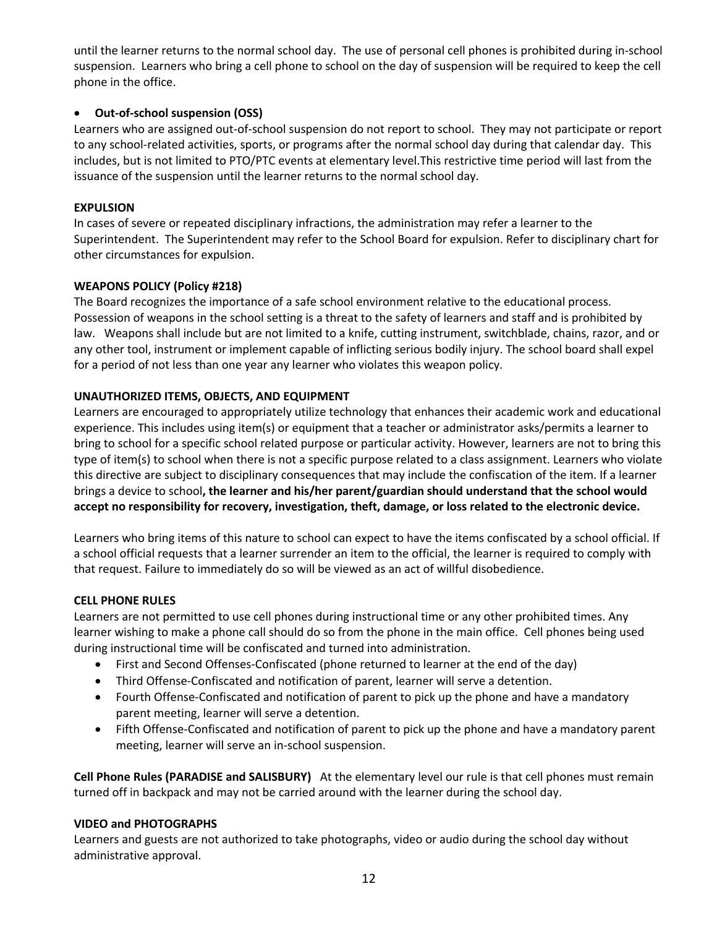until the learner returns to the normal school day. The use of personal cell phones is prohibited during in-school suspension. Learners who bring a cell phone to school on the day of suspension will be required to keep the cell phone in the office.

#### • **Out-of-school suspension (OSS)**

Learners who are assigned out-of-school suspension do not report to school. They may not participate or report to any school-related activities, sports, or programs after the normal school day during that calendar day. This includes, but is not limited to PTO/PTC events at elementary level.This restrictive time period will last from the issuance of the suspension until the learner returns to the normal school day.

#### **EXPULSION**

In cases of severe or repeated disciplinary infractions, the administration may refer a learner to the Superintendent. The Superintendent may refer to the School Board for expulsion. Refer to disciplinary chart for other circumstances for expulsion.

#### **WEAPONS POLICY (Policy #218)**

The Board recognizes the importance of a safe school environment relative to the educational process. Possession of weapons in the school setting is a threat to the safety of learners and staff and is prohibited by law. Weapons shall include but are not limited to a knife, cutting instrument, switchblade, chains, razor, and or any other tool, instrument or implement capable of inflicting serious bodily injury. The school board shall expel for a period of not less than one year any learner who violates this weapon policy.

#### **UNAUTHORIZED ITEMS, OBJECTS, AND EQUIPMENT**

Learners are encouraged to appropriately utilize technology that enhances their academic work and educational experience. This includes using item(s) or equipment that a teacher or administrator asks/permits a learner to bring to school for a specific school related purpose or particular activity. However, learners are not to bring this type of item(s) to school when there is not a specific purpose related to a class assignment. Learners who violate this directive are subject to disciplinary consequences that may include the confiscation of the item. If a learner brings a device to school**, the learner and his/her parent/guardian should understand that the school would accept no responsibility for recovery, investigation, theft, damage, or loss related to the electronic device.** 

Learners who bring items of this nature to school can expect to have the items confiscated by a school official. If a school official requests that a learner surrender an item to the official, the learner is required to comply with that request. Failure to immediately do so will be viewed as an act of willful disobedience.

#### **CELL PHONE RULES**

Learners are not permitted to use cell phones during instructional time or any other prohibited times. Any learner wishing to make a phone call should do so from the phone in the main office. Cell phones being used during instructional time will be confiscated and turned into administration.

- First and Second Offenses-Confiscated (phone returned to learner at the end of the day)
- Third Offense-Confiscated and notification of parent, learner will serve a detention.
- Fourth Offense-Confiscated and notification of parent to pick up the phone and have a mandatory parent meeting, learner will serve a detention.
- Fifth Offense-Confiscated and notification of parent to pick up the phone and have a mandatory parent meeting, learner will serve an in-school suspension.

**Cell Phone Rules (PARADISE and SALISBURY)** At the elementary level our rule is that cell phones must remain turned off in backpack and may not be carried around with the learner during the school day.

#### **VIDEO and PHOTOGRAPHS**

Learners and guests are not authorized to take photographs, video or audio during the school day without administrative approval.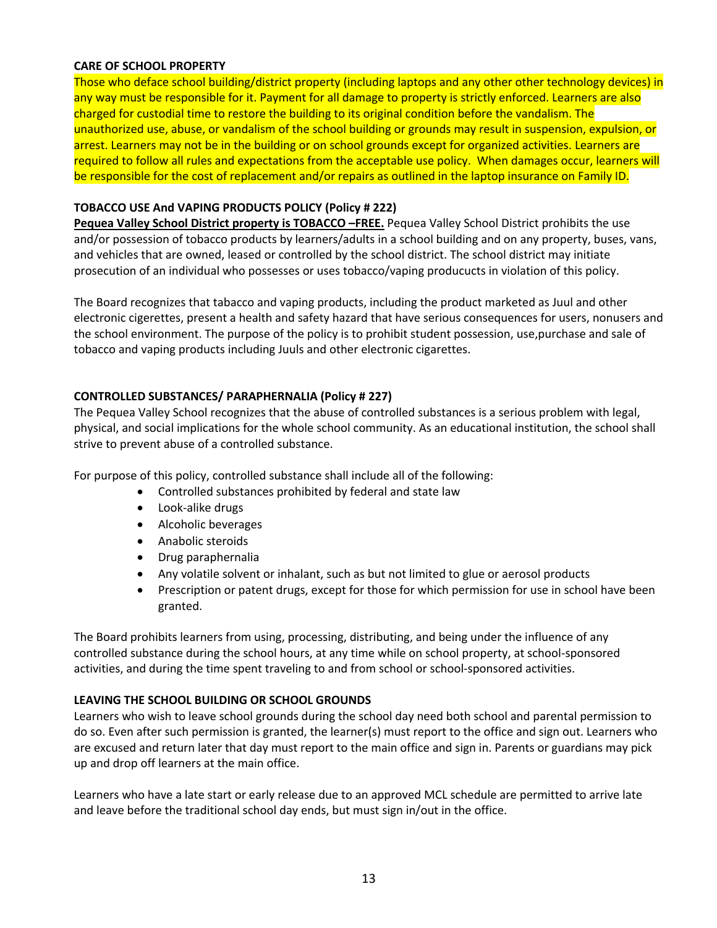#### **CARE OF SCHOOL PROPERTY**

Those who deface school building/district property (including laptops and any other other technology devices) in any way must be responsible for it. Payment for all damage to property is strictly enforced. Learners are also charged for custodial time to restore the building to its original condition before the vandalism. The unauthorized use, abuse, or vandalism of the school building or grounds may result in suspension, expulsion, or arrest. Learners may not be in the building or on school grounds except for organized activities. Learners are required to follow all rules and expectations from the acceptable use policy. When damages occur, learners will be responsible for the cost of replacement and/or repairs as outlined in the laptop insurance on Family ID.

#### **TOBACCO USE And VAPING PRODUCTS POLICY (Policy # 222)**

**Pequea Valley School District property is TOBACCO –FREE.** Pequea Valley School District prohibits the use and/or possession of tobacco products by learners/adults in a school building and on any property, buses, vans, and vehicles that are owned, leased or controlled by the school district. The school district may initiate prosecution of an individual who possesses or uses tobacco/vaping producucts in violation of this policy.

The Board recognizes that tabacco and vaping products, including the product marketed as Juul and other electronic cigerettes, present a health and safety hazard that have serious consequences for users, nonusers and the school environment. The purpose of the policy is to prohibit student possession, use,purchase and sale of tobacco and vaping products including Juuls and other electronic cigarettes.

#### **CONTROLLED SUBSTANCES/ PARAPHERNALIA (Policy # 227)**

The Pequea Valley School recognizes that the abuse of controlled substances is a serious problem with legal, physical, and social implications for the whole school community. As an educational institution, the school shall strive to prevent abuse of a controlled substance.

For purpose of this policy, controlled substance shall include all of the following:

- Controlled substances prohibited by federal and state law
- Look-alike drugs
- Alcoholic beverages
- Anabolic steroids
- Drug paraphernalia
- Any volatile solvent or inhalant, such as but not limited to glue or aerosol products
- Prescription or patent drugs, except for those for which permission for use in school have been granted.

The Board prohibits learners from using, processing, distributing, and being under the influence of any controlled substance during the school hours, at any time while on school property, at school-sponsored activities, and during the time spent traveling to and from school or school-sponsored activities.

#### **LEAVING THE SCHOOL BUILDING OR SCHOOL GROUNDS**

Learners who wish to leave school grounds during the school day need both school and parental permission to do so. Even after such permission is granted, the learner(s) must report to the office and sign out. Learners who are excused and return later that day must report to the main office and sign in. Parents or guardians may pick up and drop off learners at the main office.

Learners who have a late start or early release due to an approved MCL schedule are permitted to arrive late and leave before the traditional school day ends, but must sign in/out in the office.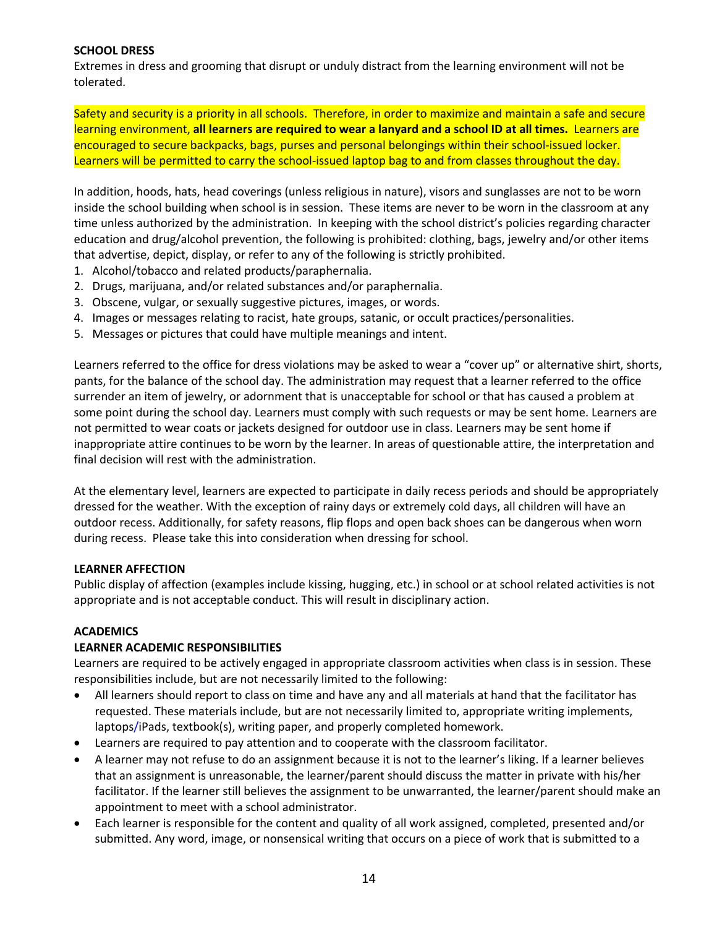#### **SCHOOL DRESS**

Extremes in dress and grooming that disrupt or unduly distract from the learning environment will not be tolerated.

Safety and security is a priority in all schools. Therefore, in order to maximize and maintain a safe and secure learning environment, **all learners are required to wear a lanyard and a school ID at all times.** Learners are encouraged to secure backpacks, bags, purses and personal belongings within their school-issued locker. Learners will be permitted to carry the school-issued laptop bag to and from classes throughout the day.

In addition, hoods, hats, head coverings (unless religious in nature), visors and sunglasses are not to be worn inside the school building when school is in session. These items are never to be worn in the classroom at any time unless authorized by the administration. In keeping with the school district's policies regarding character education and drug/alcohol prevention, the following is prohibited: clothing, bags, jewelry and/or other items that advertise, depict, display, or refer to any of the following is strictly prohibited.

- 1. Alcohol/tobacco and related products/paraphernalia.
- 2. Drugs, marijuana, and/or related substances and/or paraphernalia.
- 3. Obscene, vulgar, or sexually suggestive pictures, images, or words.
- 4. Images or messages relating to racist, hate groups, satanic, or occult practices/personalities.
- 5. Messages or pictures that could have multiple meanings and intent.

Learners referred to the office for dress violations may be asked to wear a "cover up" or alternative shirt, shorts, pants, for the balance of the school day. The administration may request that a learner referred to the office surrender an item of jewelry, or adornment that is unacceptable for school or that has caused a problem at some point during the school day. Learners must comply with such requests or may be sent home. Learners are not permitted to wear coats or jackets designed for outdoor use in class. Learners may be sent home if inappropriate attire continues to be worn by the learner. In areas of questionable attire, the interpretation and final decision will rest with the administration.

At the elementary level, learners are expected to participate in daily recess periods and should be appropriately dressed for the weather. With the exception of rainy days or extremely cold days, all children will have an outdoor recess. Additionally, for safety reasons, flip flops and open back shoes can be dangerous when worn during recess. Please take this into consideration when dressing for school.

#### **LEARNER AFFECTION**

Public display of affection (examples include kissing, hugging, etc.) in school or at school related activities is not appropriate and is not acceptable conduct. This will result in disciplinary action.

#### **ACADEMICS**

#### **LEARNER ACADEMIC RESPONSIBILITIES**

Learners are required to be actively engaged in appropriate classroom activities when class is in session. These responsibilities include, but are not necessarily limited to the following:

- All learners should report to class on time and have any and all materials at hand that the facilitator has requested. These materials include, but are not necessarily limited to, appropriate writing implements, laptops/iPads, textbook(s), writing paper, and properly completed homework.
- Learners are required to pay attention and to cooperate with the classroom facilitator.
- A learner may not refuse to do an assignment because it is not to the learner's liking. If a learner believes that an assignment is unreasonable, the learner/parent should discuss the matter in private with his/her facilitator. If the learner still believes the assignment to be unwarranted, the learner/parent should make an appointment to meet with a school administrator.
- Each learner is responsible for the content and quality of all work assigned, completed, presented and/or submitted. Any word, image, or nonsensical writing that occurs on a piece of work that is submitted to a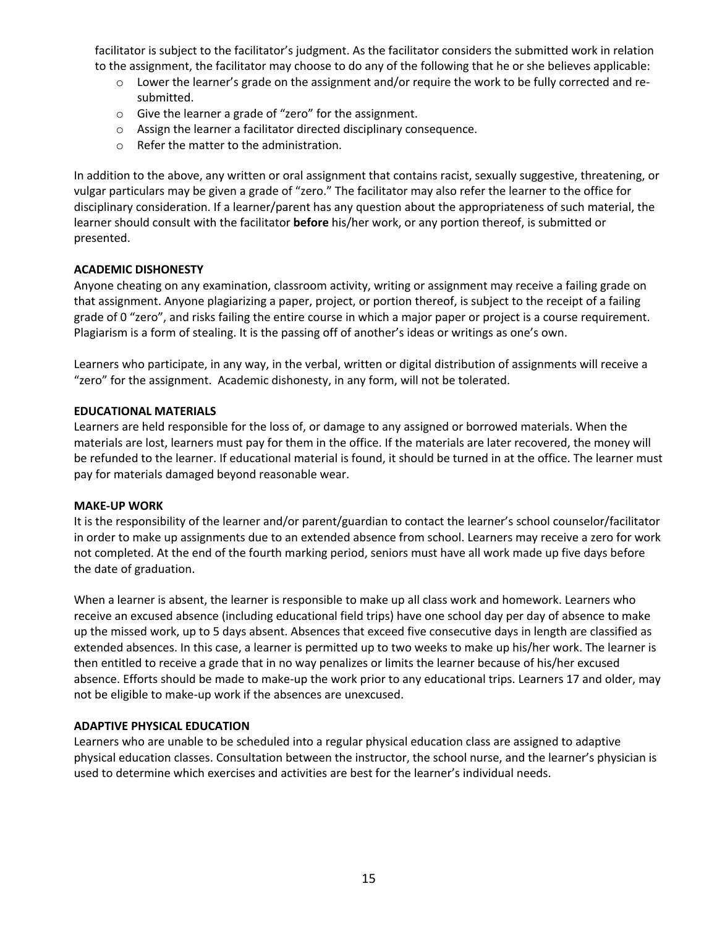facilitator is subject to the facilitator's judgment. As the facilitator considers the submitted work in relation to the assignment, the facilitator may choose to do any of the following that he or she believes applicable:

- $\circ$  Lower the learner's grade on the assignment and/or require the work to be fully corrected and resubmitted.
- o Give the learner a grade of "zero" for the assignment.
- o Assign the learner a facilitator directed disciplinary consequence.
- o Refer the matter to the administration.

In addition to the above, any written or oral assignment that contains racist, sexually suggestive, threatening, or vulgar particulars may be given a grade of "zero." The facilitator may also refer the learner to the office for disciplinary consideration. If a learner/parent has any question about the appropriateness of such material, the learner should consult with the facilitator **before** his/her work, or any portion thereof, is submitted or presented.

#### **ACADEMIC DISHONESTY**

Anyone cheating on any examination, classroom activity, writing or assignment may receive a failing grade on that assignment. Anyone plagiarizing a paper, project, or portion thereof, is subject to the receipt of a failing grade of 0 "zero", and risks failing the entire course in which a major paper or project is a course requirement. Plagiarism is a form of stealing. It is the passing off of another's ideas or writings as one's own.

Learners who participate, in any way, in the verbal, written or digital distribution of assignments will receive a "zero" for the assignment. Academic dishonesty, in any form, will not be tolerated.

#### **EDUCATIONAL MATERIALS**

Learners are held responsible for the loss of, or damage to any assigned or borrowed materials. When the materials are lost, learners must pay for them in the office. If the materials are later recovered, the money will be refunded to the learner. If educational material is found, it should be turned in at the office. The learner must pay for materials damaged beyond reasonable wear.

#### **MAKE-UP WORK**

It is the responsibility of the learner and/or parent/guardian to contact the learner's school counselor/facilitator in order to make up assignments due to an extended absence from school. Learners may receive a zero for work not completed. At the end of the fourth marking period, seniors must have all work made up five days before the date of graduation.

When a learner is absent, the learner is responsible to make up all class work and homework. Learners who receive an excused absence (including educational field trips) have one school day per day of absence to make up the missed work, up to 5 days absent. Absences that exceed five consecutive days in length are classified as extended absences. In this case, a learner is permitted up to two weeks to make up his/her work. The learner is then entitled to receive a grade that in no way penalizes or limits the learner because of his/her excused absence. Efforts should be made to make-up the work prior to any educational trips. Learners 17 and older, may not be eligible to make-up work if the absences are unexcused.

#### **ADAPTIVE PHYSICAL EDUCATION**

Learners who are unable to be scheduled into a regular physical education class are assigned to adaptive physical education classes. Consultation between the instructor, the school nurse, and the learner's physician is used to determine which exercises and activities are best for the learner's individual needs.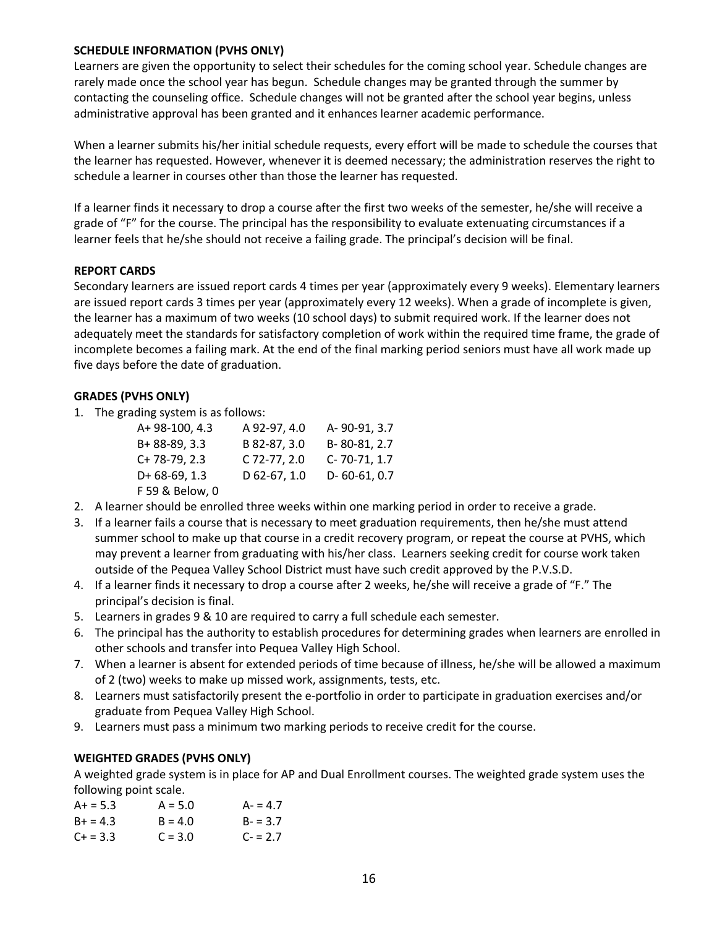#### **SCHEDULE INFORMATION (PVHS ONLY)**

Learners are given the opportunity to select their schedules for the coming school year. Schedule changes are rarely made once the school year has begun. Schedule changes may be granted through the summer by contacting the counseling office. Schedule changes will not be granted after the school year begins, unless administrative approval has been granted and it enhances learner academic performance.

When a learner submits his/her initial schedule requests, every effort will be made to schedule the courses that the learner has requested. However, whenever it is deemed necessary; the administration reserves the right to schedule a learner in courses other than those the learner has requested.

If a learner finds it necessary to drop a course after the first two weeks of the semester, he/she will receive a grade of "F" for the course. The principal has the responsibility to evaluate extenuating circumstances if a learner feels that he/she should not receive a failing grade. The principal's decision will be final.

#### **REPORT CARDS**

Secondary learners are issued report cards 4 times per year (approximately every 9 weeks). Elementary learners are issued report cards 3 times per year (approximately every 12 weeks). When a grade of incomplete is given, the learner has a maximum of two weeks (10 school days) to submit required work. If the learner does not adequately meet the standards for satisfactory completion of work within the required time frame, the grade of incomplete becomes a failing mark. At the end of the final marking period seniors must have all work made up five days before the date of graduation.

#### **GRADES (PVHS ONLY)**

1. The grading system is as follows:

| A+ 98-100, 4.3  | A 92-97, 4.0   | A-90-91, 3.7   |
|-----------------|----------------|----------------|
| B+88-89, 3.3    | B 82-87, 3.0   | B-80-81, 2.7   |
| C+78-79, 2.3    | $C$ 72-77, 2.0 | C-70-71, 1.7   |
| D+ 68-69, 1.3   | D 62-67, 1.0   | $D-60-61, 0.7$ |
| F 59 & Below, 0 |                |                |

- 2. A learner should be enrolled three weeks within one marking period in order to receive a grade.
- 3. If a learner fails a course that is necessary to meet graduation requirements, then he/she must attend summer school to make up that course in a credit recovery program, or repeat the course at PVHS, which may prevent a learner from graduating with his/her class. Learners seeking credit for course work taken outside of the Pequea Valley School District must have such credit approved by the P.V.S.D.
- 4. If a learner finds it necessary to drop a course after 2 weeks, he/she will receive a grade of "F." The principal's decision is final.
- 5. Learners in grades 9 & 10 are required to carry a full schedule each semester.
- 6. The principal has the authority to establish procedures for determining grades when learners are enrolled in other schools and transfer into Pequea Valley High School.
- 7. When a learner is absent for extended periods of time because of illness, he/she will be allowed a maximum of 2 (two) weeks to make up missed work, assignments, tests, etc.
- 8. Learners must satisfactorily present the e-portfolio in order to participate in graduation exercises and/or graduate from Pequea Valley High School.
- 9. Learners must pass a minimum two marking periods to receive credit for the course.

#### **WEIGHTED GRADES (PVHS ONLY)**

A weighted grade system is in place for AP and Dual Enrollment courses. The weighted grade system uses the following point scale.

| $A+ = 5.3$  | $A = 5.0$ | $A - 4.7$ |
|-------------|-----------|-----------|
| $B+ = 4.3$  | $B = 4.0$ | $B - 3.7$ |
| $C + = 3.3$ | $C = 3.0$ | $C - 2.7$ |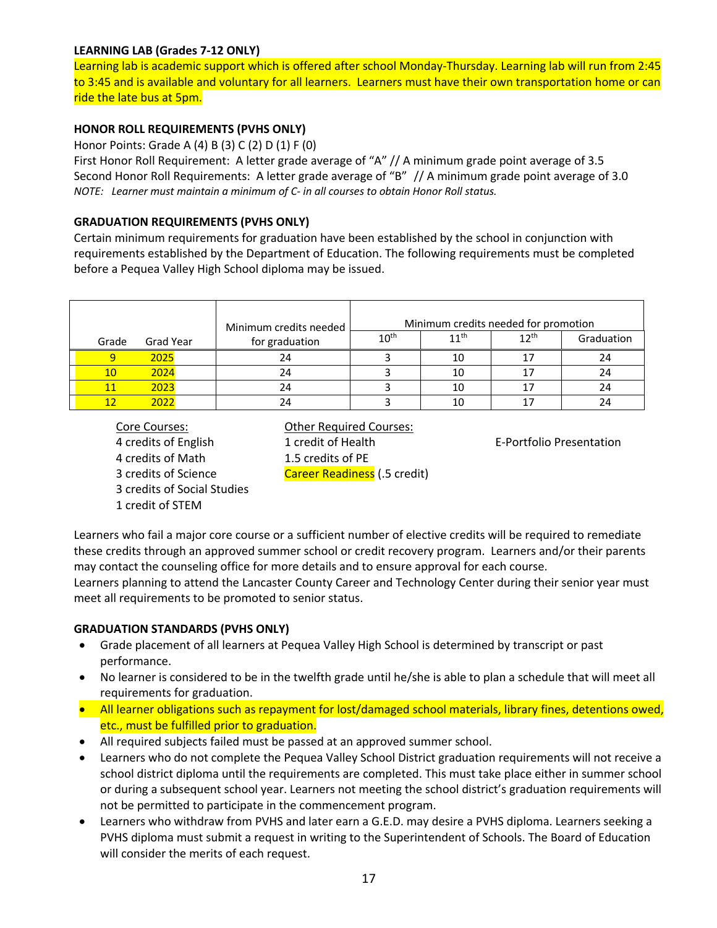#### **LEARNING LAB (Grades 7-12 ONLY)**

Learning lab is academic support which is offered after school Monday-Thursday. Learning lab will run from 2:45 to 3:45 and is available and voluntary for all learners. Learners must have their own transportation home or can ride the late bus at 5pm.

#### **HONOR ROLL REQUIREMENTS (PVHS ONLY)**

Honor Points: Grade A (4) B (3) C (2) D (1) F (0)

First Honor Roll Requirement: A letter grade average of "A" // A minimum grade point average of 3.5 Second Honor Roll Requirements: A letter grade average of "B" // A minimum grade point average of 3.0 *NOTE: Learner must maintain a minimum of C- in all courses to obtain Honor Roll status.* 

#### **GRADUATION REQUIREMENTS (PVHS ONLY)**

Certain minimum requirements for graduation have been established by the school in conjunction with requirements established by the Department of Education. The following requirements must be completed before a Pequea Valley High School diploma may be issued.

|       |           | Minimum credits needed |           |           | Minimum credits needed for promotion |            |
|-------|-----------|------------------------|-----------|-----------|--------------------------------------|------------|
| Grade | Grad Year | for graduation         | $10^{th}$ | $11^{th}$ | $12^{th}$                            | Graduation |
|       | 2025      | 24                     |           | 10        |                                      | 24         |
| 10    | 2024      | 24                     |           | 10        |                                      | 24         |
|       | 2023      | 24                     |           | 10        |                                      | 24         |
|       | 2022      | 24                     |           | 10        |                                      |            |

Core Courses: Other Required Courses: 4 credits of Math 1.5 credits of PE 3 credits of Science Career Readiness (.5 credit) 3 credits of Social Studies 1 credit of STEM

4 credits of English 1 credit of Health E-Portfolio Presentation

Learners who fail a major core course or a sufficient number of elective credits will be required to remediate these credits through an approved summer school or credit recovery program. Learners and/or their parents may contact the counseling office for more details and to ensure approval for each course.

Learners planning to attend the Lancaster County Career and Technology Center during their senior year must meet all requirements to be promoted to senior status.

#### **GRADUATION STANDARDS (PVHS ONLY)**

- Grade placement of all learners at Pequea Valley High School is determined by transcript or past performance.
- No learner is considered to be in the twelfth grade until he/she is able to plan a schedule that will meet all requirements for graduation.
- All learner obligations such as repayment for lost/damaged school materials, library fines, detentions owed, etc., must be fulfilled prior to graduation.
- All required subjects failed must be passed at an approved summer school.
- Learners who do not complete the Pequea Valley School District graduation requirements will not receive a school district diploma until the requirements are completed. This must take place either in summer school or during a subsequent school year. Learners not meeting the school district's graduation requirements will not be permitted to participate in the commencement program.
- Learners who withdraw from PVHS and later earn a G.E.D. may desire a PVHS diploma. Learners seeking a PVHS diploma must submit a request in writing to the Superintendent of Schools. The Board of Education will consider the merits of each request.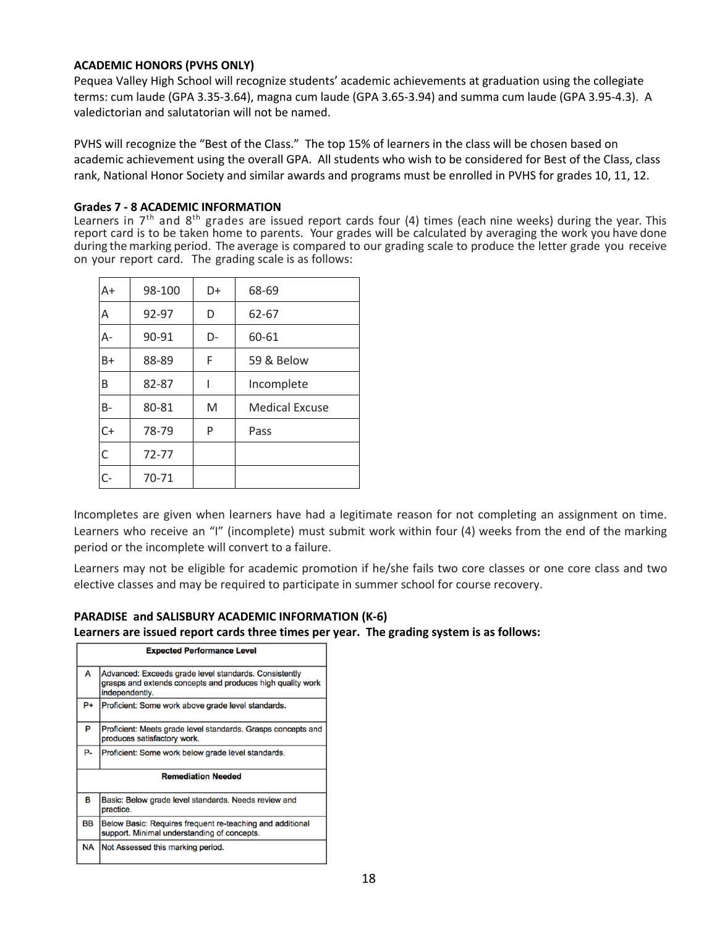#### **ACADEMIC HONORS (PVHS ONLY)**

Pequea Valley High School will recognize students' academic achievements at graduation using the collegiate terms: cum laude (GPA 3.35-3.64), magna cum laude (GPA 3.65-3.94) and summa cum laude (GPA 3.95-4.3). A valedictorian and salutatorian will not be named.

PVHS will recognize the "Best of the Class." The top 15% of learners in the class will be chosen based on academic achievement using the overall GPA. All students who wish to be considered for Best of the Class, class rank, National Honor Society and similar awards and programs must be enrolled in PVHS for grades 10, 11, 12.

#### **Grades 7 - 8 ACADEMIC INFORMATION**

Learners in  $7<sup>th</sup>$  and  $8<sup>th</sup>$  grades are issued report cards four (4) times (each nine weeks) during the year. This report card is to be taken home to parents. Your grades will be calculated by averaging the work you have done during the marking period. The average is compared to our grading scale to produce the letter grade you receive on your report card. The grading scale is as follows:

| $A+$         | 98-100    | D+ | 68-69                 |
|--------------|-----------|----|-----------------------|
| Α            | 92-97     | D  | 62-67                 |
| $A -$        | 90-91     | D- | 60-61                 |
| $B+$         | 88-89     | F  | 59 & Below            |
| B            | 82-87     |    | Incomplete            |
| $B -$        | 80-81     | M  | <b>Medical Excuse</b> |
| $C+$         | 78-79     | P  | Pass                  |
| $\mathsf{C}$ | $72 - 77$ |    |                       |
| $C-$         | 70-71     |    |                       |

Incompletes are given when learners have had a legitimate reason for not completing an assignment on time. Learners who receive an "I" (incomplete) must submit work within four (4) weeks from the end of the marking period or the incomplete will convert to a failure.

Learners may not be eligible for academic promotion if he/she fails two core classes or one core class and two elective classes and may be required to participate in summer school for course recovery.

#### **PARADISE and SALISBURY ACADEMIC INFORMATION (K-6)**

#### **Learners are issued report cards three times per year. The grading system is as follows:**

|           | <b>Expected Performance Level</b>                                                                                                     |
|-----------|---------------------------------------------------------------------------------------------------------------------------------------|
| A         | Advanced: Exceeds grade level standards. Consistently<br>grasps and extends concepts and produces high quality work<br>independently. |
| P+        | Proficient: Some work above grade level standards.                                                                                    |
| P         | Proficient: Meets grade level standards. Grasps concepts and<br>produces satisfactory work.                                           |
| P-        | Proficient: Some work below grade level standards.                                                                                    |
|           | <b>Remediation Needed</b>                                                                                                             |
| в         | Basic: Below grade level standards. Needs review and<br>practice.                                                                     |
| BB        | Below Basic: Requires frequent re-teaching and additional<br>support. Minimal understanding of concepts.                              |
| <b>NA</b> | Not Assessed this marking period.                                                                                                     |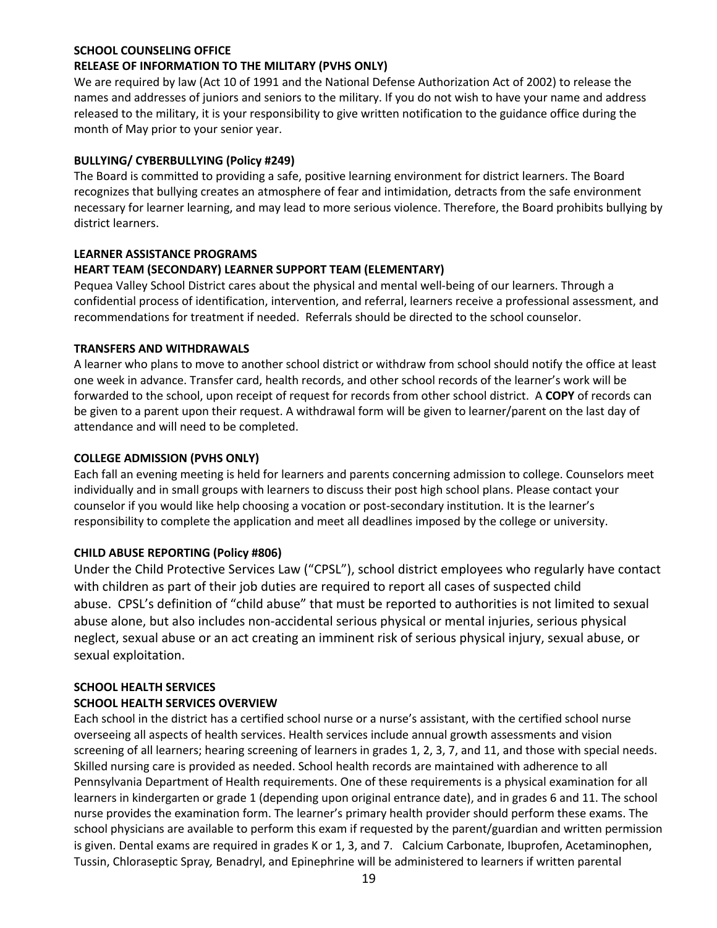#### **SCHOOL COUNSELING OFFICE**

#### **RELEASE OF INFORMATION TO THE MILITARY (PVHS ONLY)**

We are required by law (Act 10 of 1991 and the National Defense Authorization Act of 2002) to release the names and addresses of juniors and seniors to the military. If you do not wish to have your name and address released to the military, it is your responsibility to give written notification to the guidance office during the month of May prior to your senior year.

#### **BULLYING/ CYBERBULLYING (Policy #249)**

The Board is committed to providing a safe, positive learning environment for district learners. The Board recognizes that bullying creates an atmosphere of fear and intimidation, detracts from the safe environment necessary for learner learning, and may lead to more serious violence. Therefore, the Board prohibits bullying by district learners.

#### **LEARNER ASSISTANCE PROGRAMS**

#### **HEART TEAM (SECONDARY) LEARNER SUPPORT TEAM (ELEMENTARY)**

Pequea Valley School District cares about the physical and mental well-being of our learners. Through a confidential process of identification, intervention, and referral, learners receive a professional assessment, and recommendations for treatment if needed. Referrals should be directed to the school counselor.

#### **TRANSFERS AND WITHDRAWALS**

A learner who plans to move to another school district or withdraw from school should notify the office at least one week in advance. Transfer card, health records, and other school records of the learner's work will be forwarded to the school, upon receipt of request for records from other school district. A **COPY** of records can be given to a parent upon their request. A withdrawal form will be given to learner/parent on the last day of attendance and will need to be completed.

#### **COLLEGE ADMISSION (PVHS ONLY)**

Each fall an evening meeting is held for learners and parents concerning admission to college. Counselors meet individually and in small groups with learners to discuss their post high school plans. Please contact your counselor if you would like help choosing a vocation or post-secondary institution. It is the learner's responsibility to complete the application and meet all deadlines imposed by the college or university.

#### **CHILD ABUSE REPORTING (Policy #806)**

Under the Child Protective Services Law ("CPSL"), school district employees who regularly have contact with children as part of their job duties are required to report all cases of suspected child abuse. CPSL's definition of "child abuse" that must be reported to authorities is not limited to sexual abuse alone, but also includes non-accidental serious physical or mental injuries, serious physical neglect, sexual abuse or an act creating an imminent risk of serious physical injury, sexual abuse, or sexual exploitation.

#### **SCHOOL HEALTH SERVICES**

#### **SCHOOL HEALTH SERVICES OVERVIEW**

Each school in the district has a certified school nurse or a nurse's assistant, with the certified school nurse overseeing all aspects of health services. Health services include annual growth assessments and vision screening of all learners; hearing screening of learners in grades 1, 2, 3, 7, and 11, and those with special needs. Skilled nursing care is provided as needed. School health records are maintained with adherence to all Pennsylvania Department of Health requirements. One of these requirements is a physical examination for all learners in kindergarten or grade 1 (depending upon original entrance date), and in grades 6 and 11. The school nurse provides the examination form. The learner's primary health provider should perform these exams. The school physicians are available to perform this exam if requested by the parent/guardian and written permission is given. Dental exams are required in grades K or 1, 3, and 7. Calcium Carbonate, Ibuprofen, Acetaminophen, Tussin, Chloraseptic Spray*,* Benadryl, and Epinephrine will be administered to learners if written parental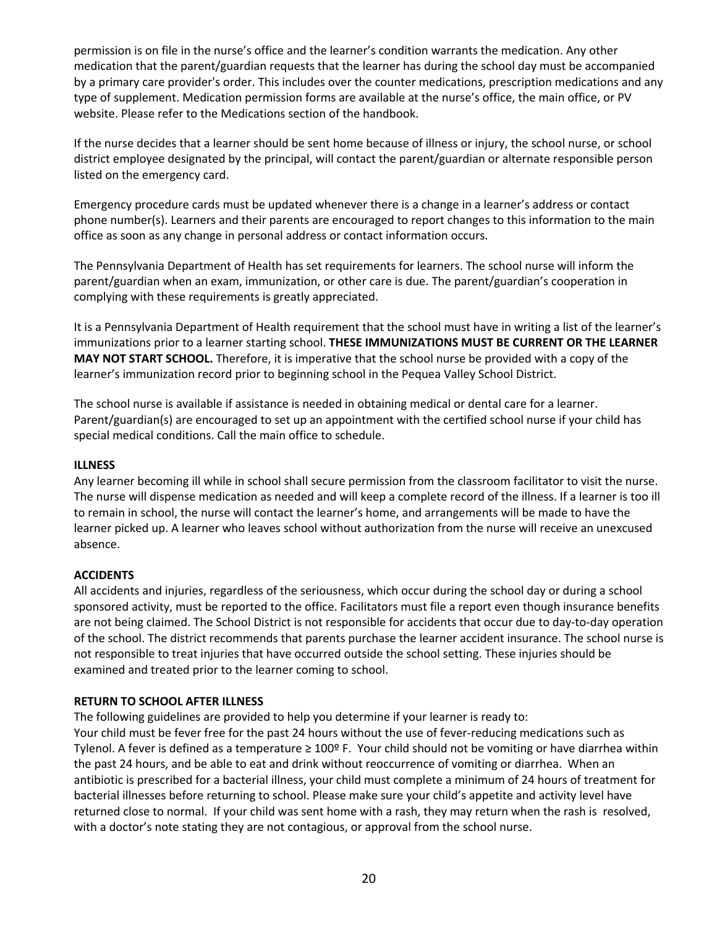permission is on file in the nurse's office and the learner's condition warrants the medication. Any other medication that the parent/guardian requests that the learner has during the school day must be accompanied by a primary care provider's order. This includes over the counter medications, prescription medications and any type of supplement. Medication permission forms are available at the nurse's office, the main office, or PV website. Please refer to the Medications section of the handbook.

If the nurse decides that a learner should be sent home because of illness or injury, the school nurse, or school district employee designated by the principal, will contact the parent/guardian or alternate responsible person listed on the emergency card.

Emergency procedure cards must be updated whenever there is a change in a learner's address or contact phone number(s). Learners and their parents are encouraged to report changes to this information to the main office as soon as any change in personal address or contact information occurs.

The Pennsylvania Department of Health has set requirements for learners. The school nurse will inform the parent/guardian when an exam, immunization, or other care is due. The parent/guardian's cooperation in complying with these requirements is greatly appreciated.

It is a Pennsylvania Department of Health requirement that the school must have in writing a list of the learner's immunizations prior to a learner starting school. **THESE IMMUNIZATIONS MUST BE CURRENT OR THE LEARNER MAY NOT START SCHOOL.** Therefore, it is imperative that the school nurse be provided with a copy of the learner's immunization record prior to beginning school in the Pequea Valley School District.

The school nurse is available if assistance is needed in obtaining medical or dental care for a learner. Parent/guardian(s) are encouraged to set up an appointment with the certified school nurse if your child has special medical conditions. Call the main office to schedule.

#### **ILLNESS**

Any learner becoming ill while in school shall secure permission from the classroom facilitator to visit the nurse. The nurse will dispense medication as needed and will keep a complete record of the illness. If a learner is too ill to remain in school, the nurse will contact the learner's home, and arrangements will be made to have the learner picked up. A learner who leaves school without authorization from the nurse will receive an unexcused absence.

#### **ACCIDENTS**

All accidents and injuries, regardless of the seriousness, which occur during the school day or during a school sponsored activity, must be reported to the office. Facilitators must file a report even though insurance benefits are not being claimed. The School District is not responsible for accidents that occur due to day-to-day operation of the school. The district recommends that parents purchase the learner accident insurance. The school nurse is not responsible to treat injuries that have occurred outside the school setting. These injuries should be examined and treated prior to the learner coming to school.

#### **RETURN TO SCHOOL AFTER ILLNESS**

The following guidelines are provided to help you determine if your learner is ready to:

Your child must be fever free for the past 24 hours without the use of fever-reducing medications such as Tylenol. A fever is defined as a temperature ≥ 100º F. Your child should not be vomiting or have diarrhea within the past 24 hours, and be able to eat and drink without reoccurrence of vomiting or diarrhea. When an antibiotic is prescribed for a bacterial illness, your child must complete a minimum of 24 hours of treatment for bacterial illnesses before returning to school. Please make sure your child's appetite and activity level have returned close to normal. If your child was sent home with a rash, they may return when the rash is resolved, with a doctor's note stating they are not contagious, or approval from the school nurse.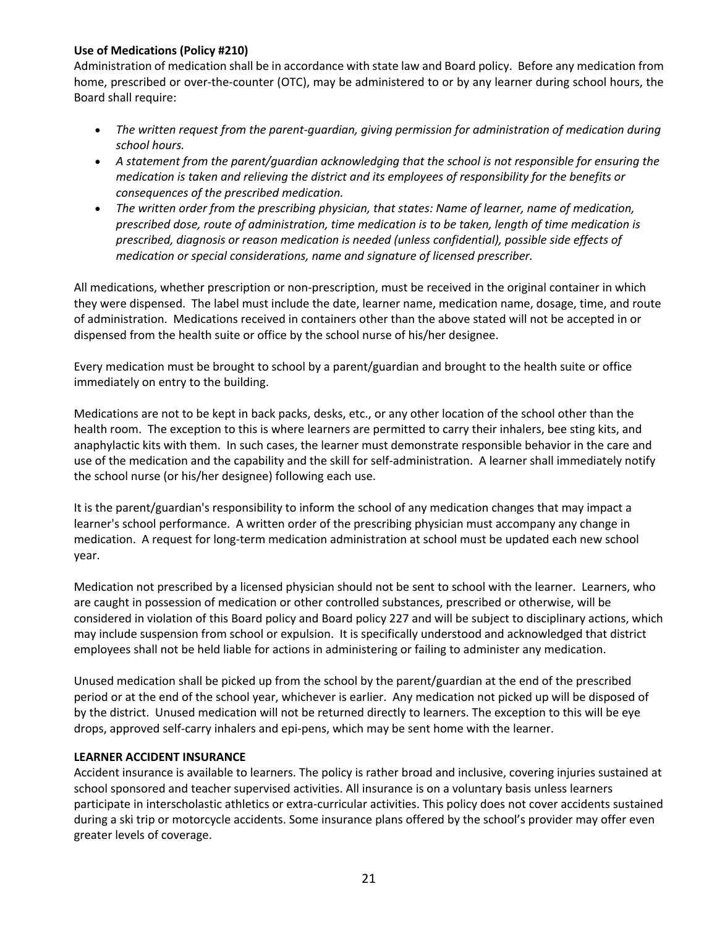#### **Use of Medications (Policy #210)**

Administration of medication shall be in accordance with state law and Board policy. Before any medication from home, prescribed or over-the-counter (OTC), may be administered to or by any learner during school hours, the Board shall require:

- *The written request from the parent-guardian, giving permission for administration of medication during school hours.*
- *A statement from the parent/guardian acknowledging that the school is not responsible for ensuring the medication is taken and relieving the district and its employees of responsibility for the benefits or consequences of the prescribed medication.*
- *The written order from the prescribing physician, that states: Name of learner, name of medication, prescribed dose, route of administration, time medication is to be taken, length of time medication is prescribed, diagnosis or reason medication is needed (unless confidential), possible side effects of medication or special considerations, name and signature of licensed prescriber.*

All medications, whether prescription or non-prescription, must be received in the original container in which they were dispensed. The label must include the date, learner name, medication name, dosage, time, and route of administration. Medications received in containers other than the above stated will not be accepted in or dispensed from the health suite or office by the school nurse of his/her designee.

Every medication must be brought to school by a parent/guardian and brought to the health suite or office immediately on entry to the building.

Medications are not to be kept in back packs, desks, etc., or any other location of the school other than the health room. The exception to this is where learners are permitted to carry their inhalers, bee sting kits, and anaphylactic kits with them. In such cases, the learner must demonstrate responsible behavior in the care and use of the medication and the capability and the skill for self-administration. A learner shall immediately notify the school nurse (or his/her designee) following each use.

It is the parent/guardian's responsibility to inform the school of any medication changes that may impact a learner's school performance. A written order of the prescribing physician must accompany any change in medication. A request for long-term medication administration at school must be updated each new school year.

Medication not prescribed by a licensed physician should not be sent to school with the learner. Learners, who are caught in possession of medication or other controlled substances, prescribed or otherwise, will be considered in violation of this Board policy and Board policy 227 and will be subject to disciplinary actions, which may include suspension from school or expulsion. It is specifically understood and acknowledged that district employees shall not be held liable for actions in administering or failing to administer any medication.

Unused medication shall be picked up from the school by the parent/guardian at the end of the prescribed period or at the end of the school year, whichever is earlier. Any medication not picked up will be disposed of by the district. Unused medication will not be returned directly to learners. The exception to this will be eye drops, approved self-carry inhalers and epi-pens, which may be sent home with the learner.

#### **LEARNER ACCIDENT INSURANCE**

Accident insurance is available to learners. The policy is rather broad and inclusive, covering injuries sustained at school sponsored and teacher supervised activities. All insurance is on a voluntary basis unless learners participate in interscholastic athletics or extra-curricular activities. This policy does not cover accidents sustained during a ski trip or motorcycle accidents. Some insurance plans offered by the school's provider may offer even greater levels of coverage.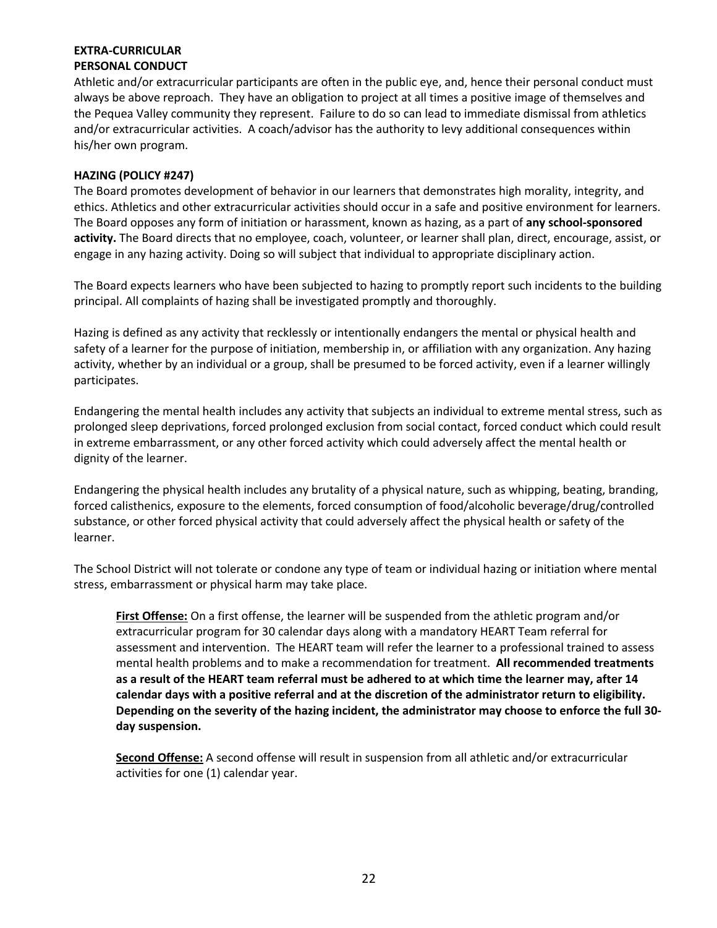#### **EXTRA-CURRICULAR PERSONAL CONDUCT**

Athletic and/or extracurricular participants are often in the public eye, and, hence their personal conduct must always be above reproach. They have an obligation to project at all times a positive image of themselves and the Pequea Valley community they represent. Failure to do so can lead to immediate dismissal from athletics and/or extracurricular activities. A coach/advisor has the authority to levy additional consequences within his/her own program.

#### **HAZING (POLICY #247)**

The Board promotes development of behavior in our learners that demonstrates high morality, integrity, and ethics. Athletics and other extracurricular activities should occur in a safe and positive environment for learners. The Board opposes any form of initiation or harassment, known as hazing, as a part of **any school-sponsored activity.** The Board directs that no employee, coach, volunteer, or learner shall plan, direct, encourage, assist, or engage in any hazing activity. Doing so will subject that individual to appropriate disciplinary action.

The Board expects learners who have been subjected to hazing to promptly report such incidents to the building principal. All complaints of hazing shall be investigated promptly and thoroughly.

Hazing is defined as any activity that recklessly or intentionally endangers the mental or physical health and safety of a learner for the purpose of initiation, membership in, or affiliation with any organization. Any hazing activity, whether by an individual or a group, shall be presumed to be forced activity, even if a learner willingly participates.

Endangering the mental health includes any activity that subjects an individual to extreme mental stress, such as prolonged sleep deprivations, forced prolonged exclusion from social contact, forced conduct which could result in extreme embarrassment, or any other forced activity which could adversely affect the mental health or dignity of the learner.

Endangering the physical health includes any brutality of a physical nature, such as whipping, beating, branding, forced calisthenics, exposure to the elements, forced consumption of food/alcoholic beverage/drug/controlled substance, or other forced physical activity that could adversely affect the physical health or safety of the learner.

The School District will not tolerate or condone any type of team or individual hazing or initiation where mental stress, embarrassment or physical harm may take place.

**First Offense:** On a first offense, the learner will be suspended from the athletic program and/or extracurricular program for 30 calendar days along with a mandatory HEART Team referral for assessment and intervention. The HEART team will refer the learner to a professional trained to assess mental health problems and to make a recommendation for treatment. **All recommended treatments as a result of the HEART team referral must be adhered to at which time the learner may, after 14 calendar days with a positive referral and at the discretion of the administrator return to eligibility. Depending on the severity of the hazing incident, the administrator may choose to enforce the full 30 day suspension.**

**Second Offense:** A second offense will result in suspension from all athletic and/or extracurricular activities for one (1) calendar year.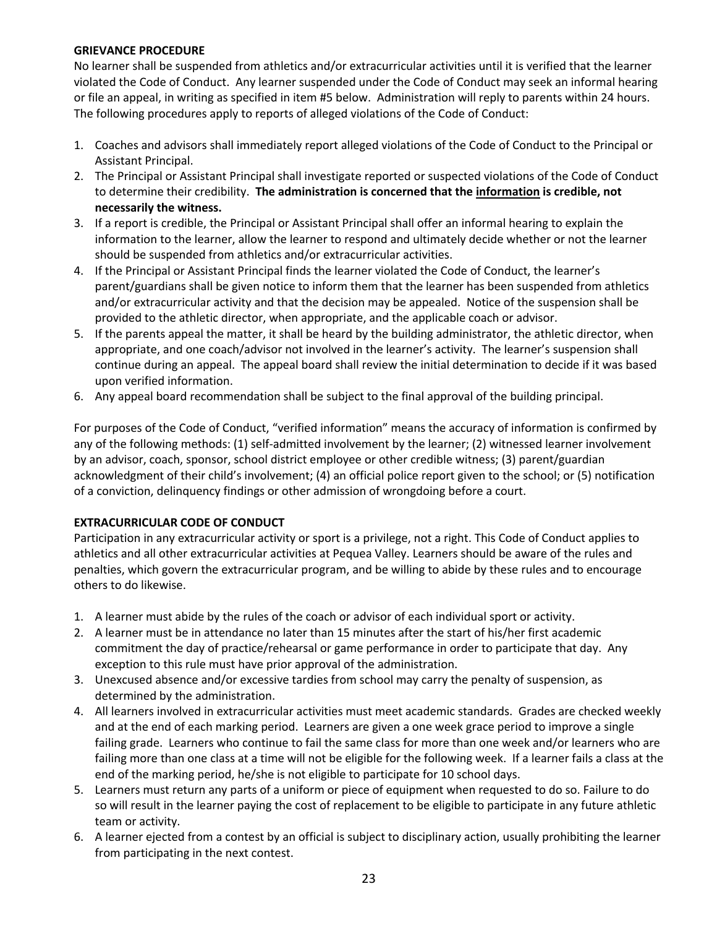#### **GRIEVANCE PROCEDURE**

No learner shall be suspended from athletics and/or extracurricular activities until it is verified that the learner violated the Code of Conduct. Any learner suspended under the Code of Conduct may seek an informal hearing or file an appeal, in writing as specified in item #5 below. Administration will reply to parents within 24 hours. The following procedures apply to reports of alleged violations of the Code of Conduct:

- 1. Coaches and advisors shall immediately report alleged violations of the Code of Conduct to the Principal or Assistant Principal.
- 2. The Principal or Assistant Principal shall investigate reported or suspected violations of the Code of Conduct to determine their credibility. **The administration is concerned that the information is credible, not necessarily the witness.**
- 3. If a report is credible, the Principal or Assistant Principal shall offer an informal hearing to explain the information to the learner, allow the learner to respond and ultimately decide whether or not the learner should be suspended from athletics and/or extracurricular activities.
- 4. If the Principal or Assistant Principal finds the learner violated the Code of Conduct, the learner's parent/guardians shall be given notice to inform them that the learner has been suspended from athletics and/or extracurricular activity and that the decision may be appealed. Notice of the suspension shall be provided to the athletic director, when appropriate, and the applicable coach or advisor.
- 5. If the parents appeal the matter, it shall be heard by the building administrator, the athletic director, when appropriate, and one coach/advisor not involved in the learner's activity. The learner's suspension shall continue during an appeal. The appeal board shall review the initial determination to decide if it was based upon verified information.
- 6. Any appeal board recommendation shall be subject to the final approval of the building principal.

For purposes of the Code of Conduct, "verified information" means the accuracy of information is confirmed by any of the following methods: (1) self-admitted involvement by the learner; (2) witnessed learner involvement by an advisor, coach, sponsor, school district employee or other credible witness; (3) parent/guardian acknowledgment of their child's involvement; (4) an official police report given to the school; or (5) notification of a conviction, delinquency findings or other admission of wrongdoing before a court.

#### **EXTRACURRICULAR CODE OF CONDUCT**

Participation in any extracurricular activity or sport is a privilege, not a right. This Code of Conduct applies to athletics and all other extracurricular activities at Pequea Valley. Learners should be aware of the rules and penalties, which govern the extracurricular program, and be willing to abide by these rules and to encourage others to do likewise.

- 1. A learner must abide by the rules of the coach or advisor of each individual sport or activity.
- 2. A learner must be in attendance no later than 15 minutes after the start of his/her first academic commitment the day of practice/rehearsal or game performance in order to participate that day. Any exception to this rule must have prior approval of the administration.
- 3. Unexcused absence and/or excessive tardies from school may carry the penalty of suspension, as determined by the administration.
- 4. All learners involved in extracurricular activities must meet academic standards. Grades are checked weekly and at the end of each marking period. Learners are given a one week grace period to improve a single failing grade. Learners who continue to fail the same class for more than one week and/or learners who are failing more than one class at a time will not be eligible for the following week. If a learner fails a class at the end of the marking period, he/she is not eligible to participate for 10 school days.
- 5. Learners must return any parts of a uniform or piece of equipment when requested to do so. Failure to do so will result in the learner paying the cost of replacement to be eligible to participate in any future athletic team or activity.
- 6. A learner ejected from a contest by an official is subject to disciplinary action, usually prohibiting the learner from participating in the next contest.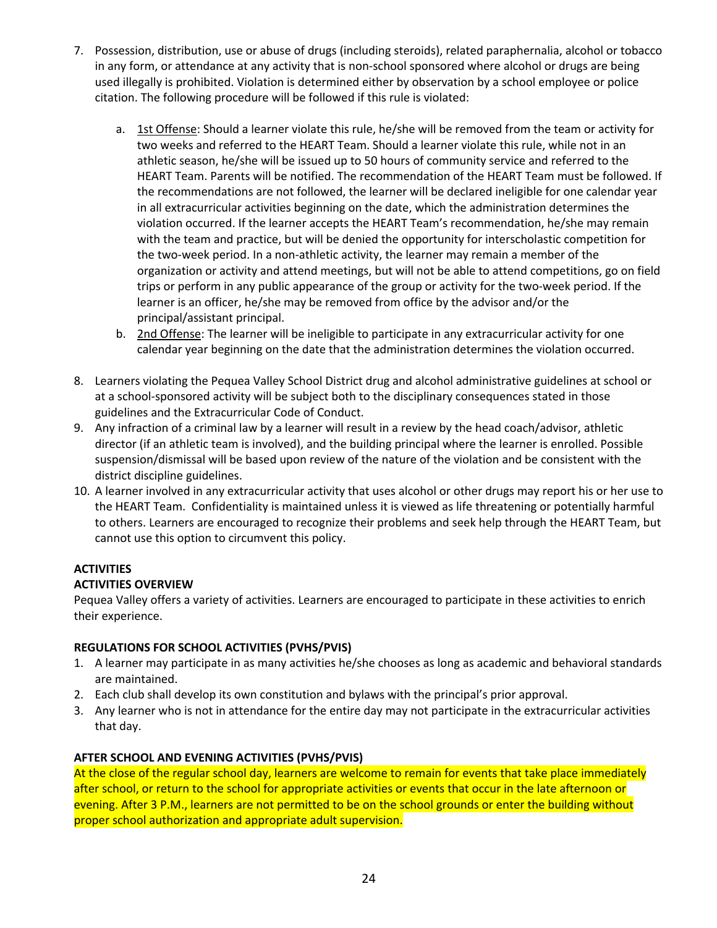- 7. Possession, distribution, use or abuse of drugs (including steroids), related paraphernalia, alcohol or tobacco in any form, or attendance at any activity that is non-school sponsored where alcohol or drugs are being used illegally is prohibited. Violation is determined either by observation by a school employee or police citation. The following procedure will be followed if this rule is violated:
	- a. 1st Offense: Should a learner violate this rule, he/she will be removed from the team or activity for two weeks and referred to the HEART Team. Should a learner violate this rule, while not in an athletic season, he/she will be issued up to 50 hours of community service and referred to the HEART Team. Parents will be notified. The recommendation of the HEART Team must be followed. If the recommendations are not followed, the learner will be declared ineligible for one calendar year in all extracurricular activities beginning on the date, which the administration determines the violation occurred. If the learner accepts the HEART Team's recommendation, he/she may remain with the team and practice, but will be denied the opportunity for interscholastic competition for the two-week period. In a non-athletic activity, the learner may remain a member of the organization or activity and attend meetings, but will not be able to attend competitions, go on field trips or perform in any public appearance of the group or activity for the two-week period. If the learner is an officer, he/she may be removed from office by the advisor and/or the principal/assistant principal.
	- b. 2nd Offense: The learner will be ineligible to participate in any extracurricular activity for one calendar year beginning on the date that the administration determines the violation occurred.
- 8. Learners violating the Pequea Valley School District drug and alcohol administrative guidelines at school or at a school-sponsored activity will be subject both to the disciplinary consequences stated in those guidelines and the Extracurricular Code of Conduct.
- 9. Any infraction of a criminal law by a learner will result in a review by the head coach/advisor, athletic director (if an athletic team is involved), and the building principal where the learner is enrolled. Possible suspension/dismissal will be based upon review of the nature of the violation and be consistent with the district discipline guidelines.
- 10. A learner involved in any extracurricular activity that uses alcohol or other drugs may report his or her use to the HEART Team. Confidentiality is maintained unless it is viewed as life threatening or potentially harmful to others. Learners are encouraged to recognize their problems and seek help through the HEART Team, but cannot use this option to circumvent this policy.

#### **ACTIVITIES**

#### **ACTIVITIES OVERVIEW**

Pequea Valley offers a variety of activities. Learners are encouraged to participate in these activities to enrich their experience.

#### **REGULATIONS FOR SCHOOL ACTIVITIES (PVHS/PVIS)**

- 1. A learner may participate in as many activities he/she chooses as long as academic and behavioral standards are maintained.
- 2. Each club shall develop its own constitution and bylaws with the principal's prior approval.
- 3. Any learner who is not in attendance for the entire day may not participate in the extracurricular activities that day.

#### **AFTER SCHOOL AND EVENING ACTIVITIES (PVHS/PVIS)**

At the close of the regular school day, learners are welcome to remain for events that take place immediately after school, or return to the school for appropriate activities or events that occur in the late afternoon or evening. After 3 P.M., learners are not permitted to be on the school grounds or enter the building without proper school authorization and appropriate adult supervision.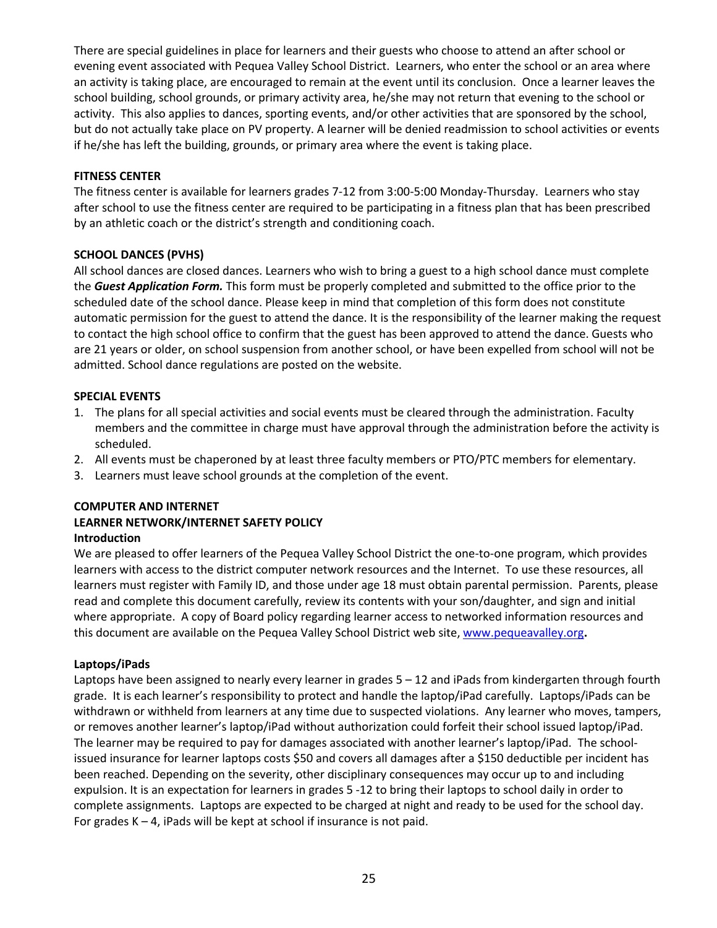There are special guidelines in place for learners and their guests who choose to attend an after school or evening event associated with Pequea Valley School District. Learners, who enter the school or an area where an activity is taking place, are encouraged to remain at the event until its conclusion. Once a learner leaves the school building, school grounds, or primary activity area, he/she may not return that evening to the school or activity. This also applies to dances, sporting events, and/or other activities that are sponsored by the school, but do not actually take place on PV property. A learner will be denied readmission to school activities or events if he/she has left the building, grounds, or primary area where the event is taking place.

#### **FITNESS CENTER**

The fitness center is available for learners grades 7-12 from 3:00-5:00 Monday-Thursday. Learners who stay after school to use the fitness center are required to be participating in a fitness plan that has been prescribed by an athletic coach or the district's strength and conditioning coach.

#### **SCHOOL DANCES (PVHS)**

All school dances are closed dances. Learners who wish to bring a guest to a high school dance must complete the *Guest Application Form.* This form must be properly completed and submitted to the office prior to the scheduled date of the school dance. Please keep in mind that completion of this form does not constitute automatic permission for the guest to attend the dance. It is the responsibility of the learner making the request to contact the high school office to confirm that the guest has been approved to attend the dance. Guests who are 21 years or older, on school suspension from another school, or have been expelled from school will not be admitted. School dance regulations are posted on the website.

#### **SPECIAL EVENTS**

- 1. The plans for all special activities and social events must be cleared through the administration. Faculty members and the committee in charge must have approval through the administration before the activity is scheduled.
- 2. All events must be chaperoned by at least three faculty members or PTO/PTC members for elementary.
- 3. Learners must leave school grounds at the completion of the event.

#### **COMPUTER AND INTERNET LEARNER NETWORK/INTERNET SAFETY POLICY Introduction**

We are pleased to offer learners of the Pequea Valley School District the one-to-one program, which provides learners with access to the district computer network resources and the Internet. To use these resources, all learners must register with Family ID, and those under age 18 must obtain parental permission. Parents, please read and complete this document carefully, review its contents with your son/daughter, and sign and initial where appropriate. A copy of Board policy regarding learner access to networked information resources and this document are available on the Pequea Valley School District web site, www.pequeavalley.org**.**

#### **Laptops/iPads**

Laptops have been assigned to nearly every learner in grades 5 – 12 and iPads from kindergarten through fourth grade. It is each learner's responsibility to protect and handle the laptop/iPad carefully. Laptops/iPads can be withdrawn or withheld from learners at any time due to suspected violations. Any learner who moves, tampers, or removes another learner's laptop/iPad without authorization could forfeit their school issued laptop/iPad. The learner may be required to pay for damages associated with another learner's laptop/iPad. The schoolissued insurance for learner laptops costs \$50 and covers all damages after a \$150 deductible per incident has been reached. Depending on the severity, other disciplinary consequences may occur up to and including expulsion. It is an expectation for learners in grades 5 -12 to bring their laptops to school daily in order to complete assignments. Laptops are expected to be charged at night and ready to be used for the school day. For grades K – 4, iPads will be kept at school if insurance is not paid.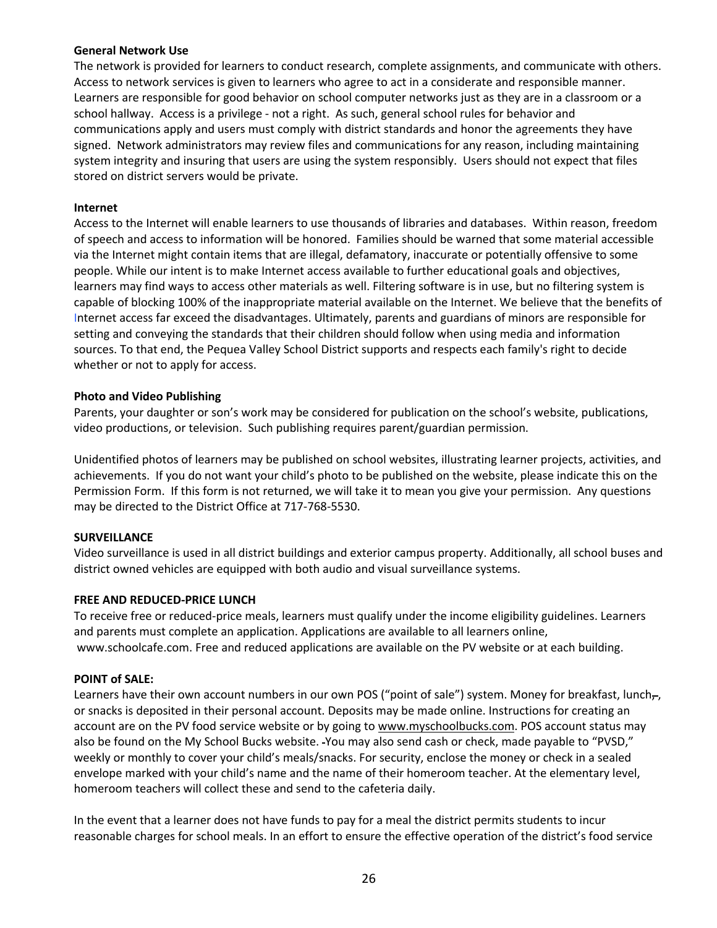#### **General Network Use**

The network is provided for learners to conduct research, complete assignments, and communicate with others. Access to network services is given to learners who agree to act in a considerate and responsible manner. Learners are responsible for good behavior on school computer networks just as they are in a classroom or a school hallway. Access is a privilege - not a right. As such, general school rules for behavior and communications apply and users must comply with district standards and honor the agreements they have signed. Network administrators may review files and communications for any reason, including maintaining system integrity and insuring that users are using the system responsibly. Users should not expect that files stored on district servers would be private.

#### **Internet**

Access to the Internet will enable learners to use thousands of libraries and databases. Within reason, freedom of speech and access to information will be honored. Families should be warned that some material accessible via the Internet might contain items that are illegal, defamatory, inaccurate or potentially offensive to some people. While our intent is to make Internet access available to further educational goals and objectives, learners may find ways to access other materials as well. Filtering software is in use, but no filtering system is capable of blocking 100% of the inappropriate material available on the Internet. We believe that the benefits of Internet access far exceed the disadvantages. Ultimately, parents and guardians of minors are responsible for setting and conveying the standards that their children should follow when using media and information sources. To that end, the Pequea Valley School District supports and respects each family's right to decide whether or not to apply for access.

#### **Photo and Video Publishing**

Parents, your daughter or son's work may be considered for publication on the school's website, publications, video productions, or television. Such publishing requires parent/guardian permission.

Unidentified photos of learners may be published on school websites, illustrating learner projects, activities, and achievements. If you do not want your child's photo to be published on the website, please indicate this on the Permission Form. If this form is not returned, we will take it to mean you give your permission. Any questions may be directed to the District Office at 717-768-5530.

#### **SURVEILLANCE**

Video surveillance is used in all district buildings and exterior campus property. Additionally, all school buses and district owned vehicles are equipped with both audio and visual surveillance systems.

#### **FREE AND REDUCED-PRICE LUNCH**

To receive free or reduced-price meals, learners must qualify under the income eligibility guidelines. Learners and parents must complete an application. Applications are available to all learners online, www.schoolcafe.com. Free and reduced applications are available on the PV website or at each building.

#### **POINT of SALE:**

Learners have their own account numbers in our own POS ("point of sale") system. Money for breakfast, lunch, or snacks is deposited in their personal account. Deposits may be made online. Instructions for creating an account are on the PV food service website or by going to www.myschoolbucks.com. POS account status may also be found on the My School Bucks website. You may also send cash or check, made payable to "PVSD," weekly or monthly to cover your child's meals/snacks. For security, enclose the money or check in a sealed envelope marked with your child's name and the name of their homeroom teacher. At the elementary level, homeroom teachers will collect these and send to the cafeteria daily.

In the event that a learner does not have funds to pay for a meal the district permits students to incur reasonable charges for school meals. In an effort to ensure the effective operation of the district's food service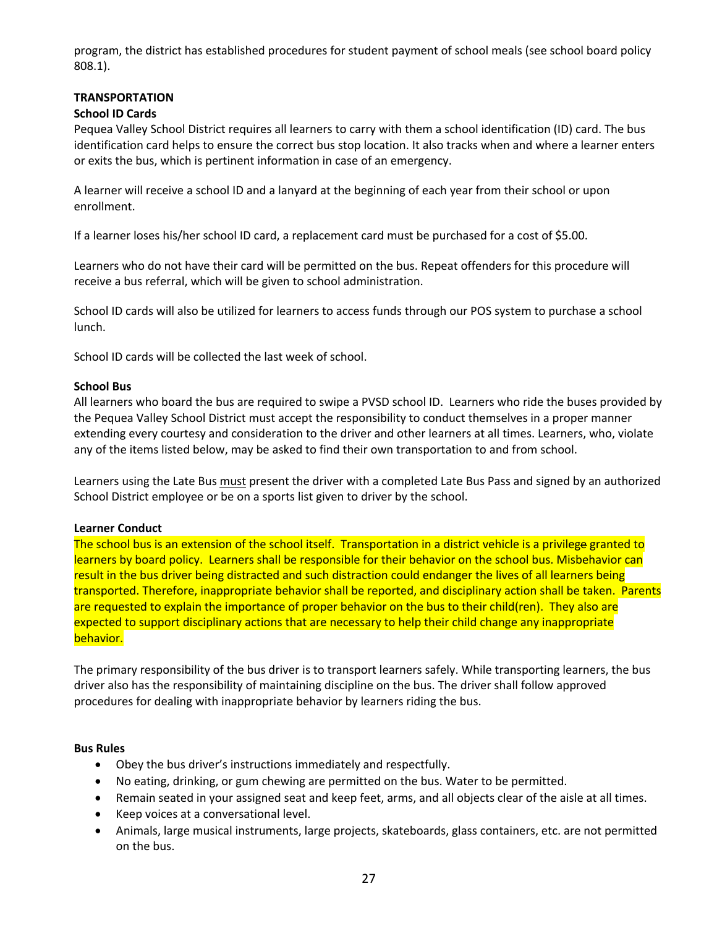program, the district has established procedures for student payment of school meals (see school board policy 808.1).

### **TRANSPORTATION**

#### **School ID Cards**

Pequea Valley School District requires all learners to carry with them a school identification (ID) card. The bus identification card helps to ensure the correct bus stop location. It also tracks when and where a learner enters or exits the bus, which is pertinent information in case of an emergency.

A learner will receive a school ID and a lanyard at the beginning of each year from their school or upon enrollment.

If a learner loses his/her school ID card, a replacement card must be purchased for a cost of \$5.00.

Learners who do not have their card will be permitted on the bus. Repeat offenders for this procedure will receive a bus referral, which will be given to school administration.

School ID cards will also be utilized for learners to access funds through our POS system to purchase a school lunch.

School ID cards will be collected the last week of school.

#### **School Bus**

All learners who board the bus are required to swipe a PVSD school ID. Learners who ride the buses provided by the Pequea Valley School District must accept the responsibility to conduct themselves in a proper manner extending every courtesy and consideration to the driver and other learners at all times. Learners, who, violate any of the items listed below, may be asked to find their own transportation to and from school.

Learners using the Late Bus must present the driver with a completed Late Bus Pass and signed by an authorized School District employee or be on a sports list given to driver by the school.

#### **Learner Conduct**

The school bus is an extension of the school itself. Transportation in a district vehicle is a privilege granted to learners by board policy. Learners shall be responsible for their behavior on the school bus. Misbehavior can result in the bus driver being distracted and such distraction could endanger the lives of all learners being transported. Therefore, inappropriate behavior shall be reported, and disciplinary action shall be taken. Parents are requested to explain the importance of proper behavior on the bus to their child(ren). They also are expected to support disciplinary actions that are necessary to help their child change any inappropriate behavior.

The primary responsibility of the bus driver is to transport learners safely. While transporting learners, the bus driver also has the responsibility of maintaining discipline on the bus. The driver shall follow approved procedures for dealing with inappropriate behavior by learners riding the bus.

#### **Bus Rules**

- Obey the bus driver's instructions immediately and respectfully.
- No eating, drinking, or gum chewing are permitted on the bus. Water to be permitted.
- Remain seated in your assigned seat and keep feet, arms, and all objects clear of the aisle at all times.
- Keep voices at a conversational level.
- Animals, large musical instruments, large projects, skateboards, glass containers, etc. are not permitted on the bus.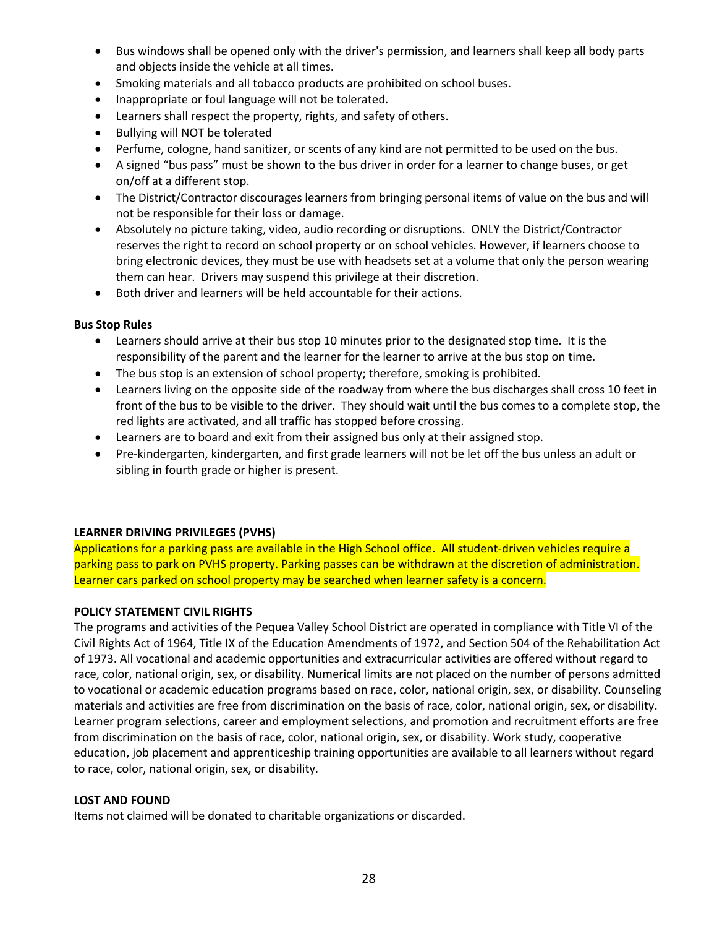- Bus windows shall be opened only with the driver's permission, and learners shall keep all body parts and objects inside the vehicle at all times.
- Smoking materials and all tobacco products are prohibited on school buses.
- Inappropriate or foul language will not be tolerated.
- Learners shall respect the property, rights, and safety of others.
- Bullying will NOT be tolerated
- Perfume, cologne, hand sanitizer, or scents of any kind are not permitted to be used on the bus.
- A signed "bus pass" must be shown to the bus driver in order for a learner to change buses, or get on/off at a different stop.
- The District/Contractor discourages learners from bringing personal items of value on the bus and will not be responsible for their loss or damage.
- Absolutely no picture taking, video, audio recording or disruptions. ONLY the District/Contractor reserves the right to record on school property or on school vehicles. However, if learners choose to bring electronic devices, they must be use with headsets set at a volume that only the person wearing them can hear. Drivers may suspend this privilege at their discretion.
- Both driver and learners will be held accountable for their actions.

#### **Bus Stop Rules**

- Learners should arrive at their bus stop 10 minutes prior to the designated stop time. It is the responsibility of the parent and the learner for the learner to arrive at the bus stop on time.
- The bus stop is an extension of school property; therefore, smoking is prohibited.
- Learners living on the opposite side of the roadway from where the bus discharges shall cross 10 feet in front of the bus to be visible to the driver. They should wait until the bus comes to a complete stop, the red lights are activated, and all traffic has stopped before crossing.
- Learners are to board and exit from their assigned bus only at their assigned stop.
- Pre-kindergarten, kindergarten, and first grade learners will not be let off the bus unless an adult or sibling in fourth grade or higher is present.

#### **LEARNER DRIVING PRIVILEGES (PVHS)**

Applications for a parking pass are available in the High School office. All student-driven vehicles require a parking pass to park on PVHS property. Parking passes can be withdrawn at the discretion of administration. Learner cars parked on school property may be searched when learner safety is a concern.

#### **POLICY STATEMENT CIVIL RIGHTS**

The programs and activities of the Pequea Valley School District are operated in compliance with Title VI of the Civil Rights Act of 1964, Title IX of the Education Amendments of 1972, and Section 504 of the Rehabilitation Act of 1973. All vocational and academic opportunities and extracurricular activities are offered without regard to race, color, national origin, sex, or disability. Numerical limits are not placed on the number of persons admitted to vocational or academic education programs based on race, color, national origin, sex, or disability. Counseling materials and activities are free from discrimination on the basis of race, color, national origin, sex, or disability. Learner program selections, career and employment selections, and promotion and recruitment efforts are free from discrimination on the basis of race, color, national origin, sex, or disability. Work study, cooperative education, job placement and apprenticeship training opportunities are available to all learners without regard to race, color, national origin, sex, or disability.

#### **LOST AND FOUND**

Items not claimed will be donated to charitable organizations or discarded.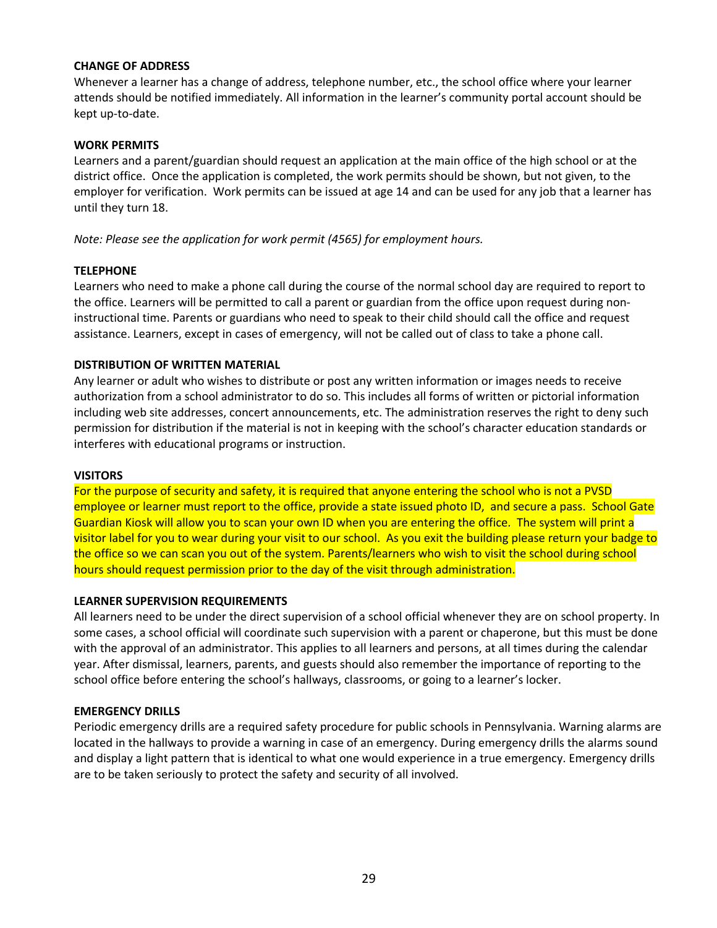#### **CHANGE OF ADDRESS**

Whenever a learner has a change of address, telephone number, etc., the school office where your learner attends should be notified immediately. All information in the learner's community portal account should be kept up-to-date.

#### **WORK PERMITS**

Learners and a parent/guardian should request an application at the main office of the high school or at the district office. Once the application is completed, the work permits should be shown, but not given, to the employer for verification. Work permits can be issued at age 14 and can be used for any job that a learner has until they turn 18.

*Note: Please see the application for work permit (4565) for employment hours.*

#### **TELEPHONE**

Learners who need to make a phone call during the course of the normal school day are required to report to the office. Learners will be permitted to call a parent or guardian from the office upon request during noninstructional time. Parents or guardians who need to speak to their child should call the office and request assistance. Learners, except in cases of emergency, will not be called out of class to take a phone call.

#### **DISTRIBUTION OF WRITTEN MATERIAL**

Any learner or adult who wishes to distribute or post any written information or images needs to receive authorization from a school administrator to do so. This includes all forms of written or pictorial information including web site addresses, concert announcements, etc. The administration reserves the right to deny such permission for distribution if the material is not in keeping with the school's character education standards or interferes with educational programs or instruction.

#### **VISITORS**

For the purpose of security and safety, it is required that anyone entering the school who is not a PVSD employee or learner must report to the office, provide a state issued photo ID, and secure a pass. School Gate Guardian Kiosk will allow you to scan your own ID when you are entering the office. The system will print a visitor label for you to wear during your visit to our school. As you exit the building please return your badge to the office so we can scan you out of the system. Parents/learners who wish to visit the school during school hours should request permission prior to the day of the visit through administration.

#### **LEARNER SUPERVISION REQUIREMENTS**

All learners need to be under the direct supervision of a school official whenever they are on school property. In some cases, a school official will coordinate such supervision with a parent or chaperone, but this must be done with the approval of an administrator. This applies to all learners and persons, at all times during the calendar year. After dismissal, learners, parents, and guests should also remember the importance of reporting to the school office before entering the school's hallways, classrooms, or going to a learner's locker.

#### **EMERGENCY DRILLS**

Periodic emergency drills are a required safety procedure for public schools in Pennsylvania. Warning alarms are located in the hallways to provide a warning in case of an emergency. During emergency drills the alarms sound and display a light pattern that is identical to what one would experience in a true emergency. Emergency drills are to be taken seriously to protect the safety and security of all involved.